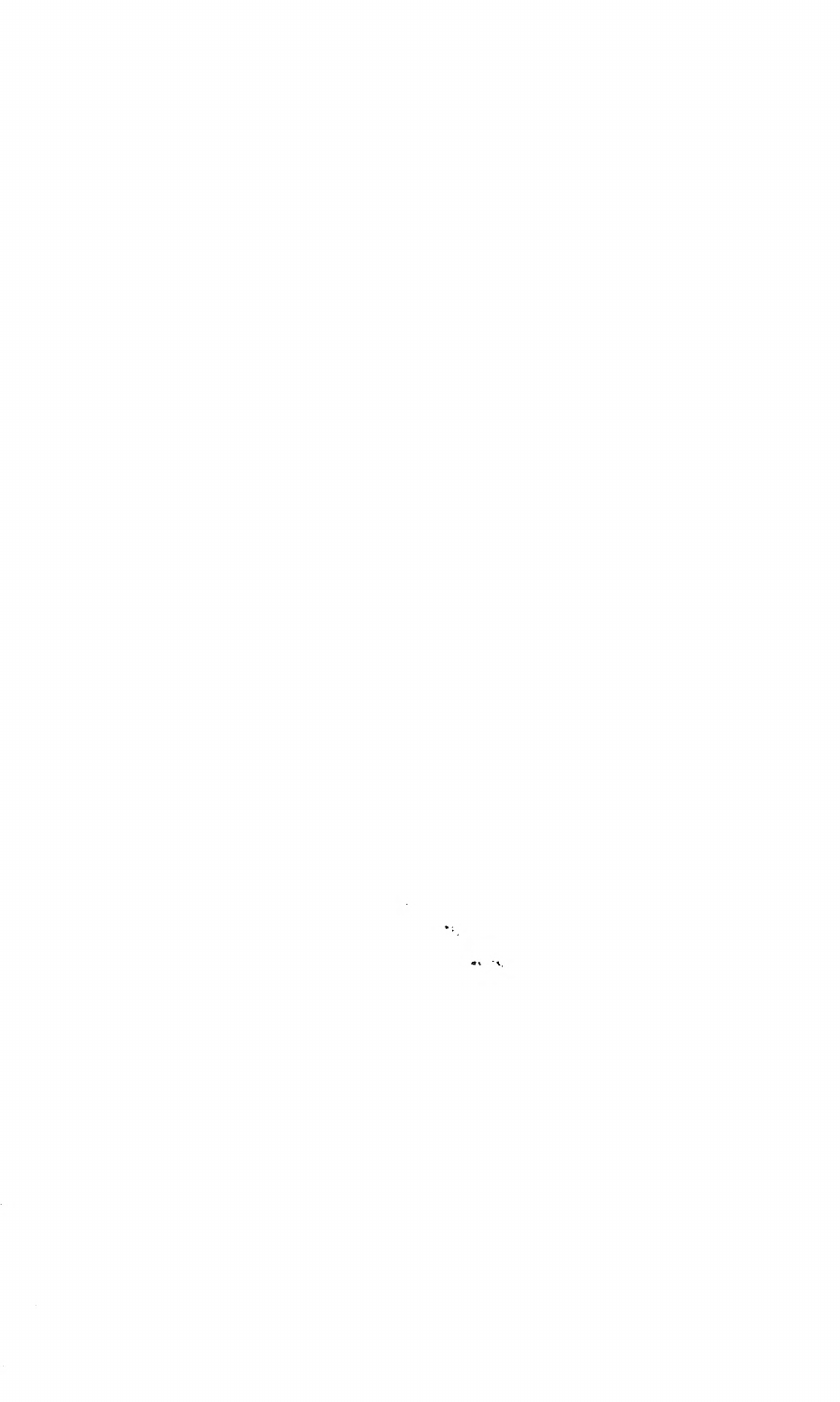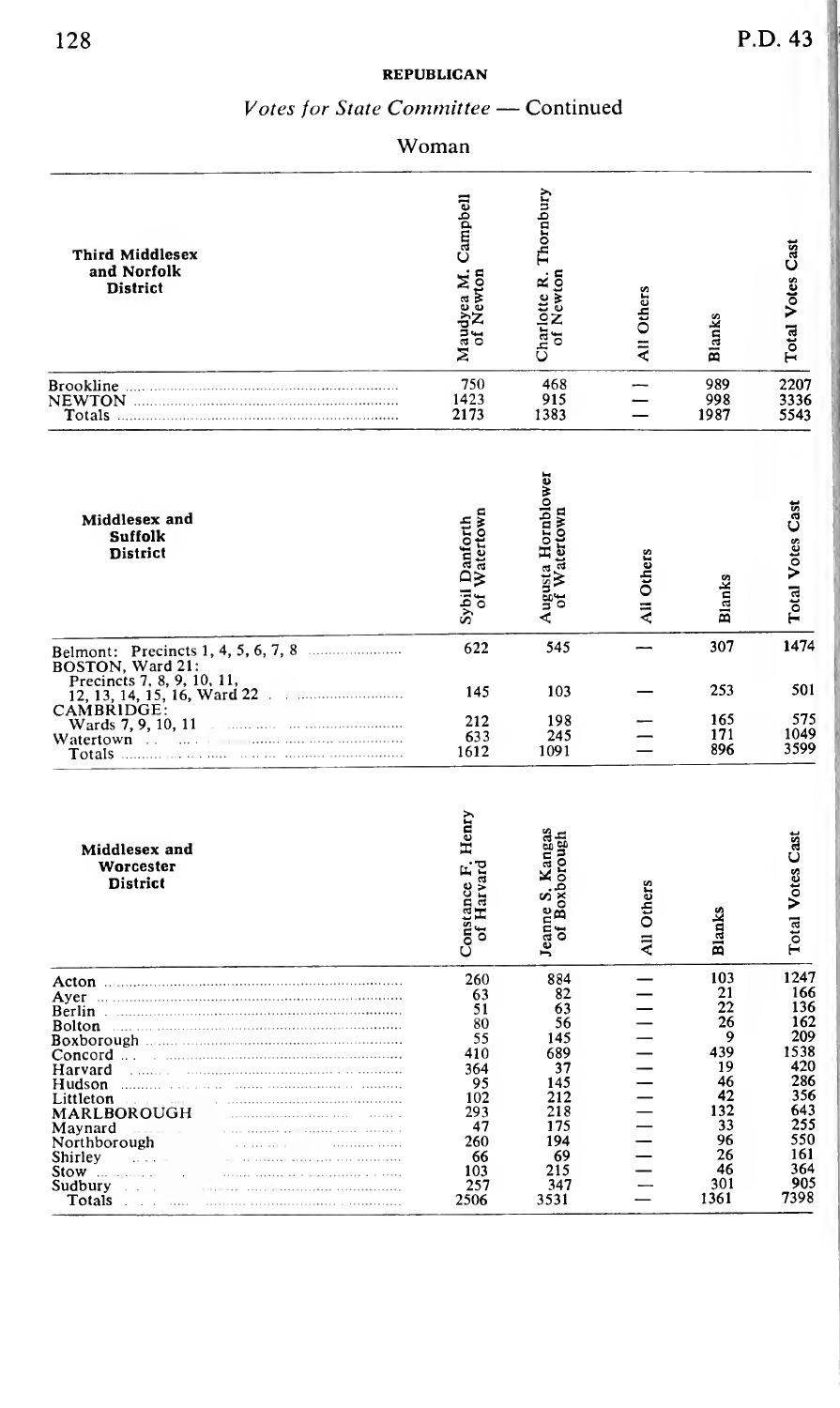### Votes for State Committee — Continued

| <b>Third Middlesex</b><br>and Norfolk<br><b>District</b>                                                                                                                                                                                                                                                                                                                   | Maudyea M. Campbell<br>of Newton                                                                       | Charlotte R. Thornbury<br>Newton<br>ซี                                                                   | All Others | Blanks                                                                                                          | Total Votes Cast                                                                                                       |
|----------------------------------------------------------------------------------------------------------------------------------------------------------------------------------------------------------------------------------------------------------------------------------------------------------------------------------------------------------------------------|--------------------------------------------------------------------------------------------------------|----------------------------------------------------------------------------------------------------------|------------|-----------------------------------------------------------------------------------------------------------------|------------------------------------------------------------------------------------------------------------------------|
|                                                                                                                                                                                                                                                                                                                                                                            | 750<br>1423<br>2173                                                                                    | 468<br>915<br>1383                                                                                       |            | 989<br>998<br>1987                                                                                              | 2207<br>3336<br>5543                                                                                                   |
| Middlesex and<br><b>Suffolk</b><br>District                                                                                                                                                                                                                                                                                                                                | Sybil Danforth<br>of Watertown                                                                         | Augusta Hornblower<br>of Watertown                                                                       | All Others | Blanks                                                                                                          | <b>Total Votes Cast</b>                                                                                                |
| Belmont: Precincts 1, 4, 5, 6, 7, 8                                                                                                                                                                                                                                                                                                                                        | 622                                                                                                    | 545                                                                                                      |            | 307                                                                                                             | 1474                                                                                                                   |
| BOSTON, Ward 21:<br>Precincts 7, 8, 9, 10, 11,<br>12, 13, 14, 15, 16, Ward 22.                                                                                                                                                                                                                                                                                             | 145                                                                                                    | 103                                                                                                      |            | 253                                                                                                             | 501                                                                                                                    |
| CAMBRIDGE:<br>2. Jane 100 - an aminometricome<br>Wards 7, 9, 10, 11<br>and the common and one momentum<br>Watertown<br>$\sim$ $\sim$<br>Totals <b>Election Communication</b> and the communications of the contract of the contract of the contract of the contract of the contract of the contract of the contract of the contract of the contract of the contract of the | 212<br>633<br>1612                                                                                     | 198<br>245<br>1091                                                                                       |            | 165<br>171<br>896                                                                                               | 575<br>1049<br>3599                                                                                                    |
| Middlesex and<br>Worcester<br><b>District</b>                                                                                                                                                                                                                                                                                                                              | Constance F. Henry<br>of Harvard                                                                       | Jeanne S. Kangas<br>Boxborough<br>ธี                                                                     | All Others | <b>Blanks</b>                                                                                                   | <b>Total Votes Cast</b>                                                                                                |
| Ayer<br>Concord<br>Harvard<br>Littleton<br>MARLBOROUGH<br>Maynard<br>a componente de componente de compo<br>Northborough<br>and a company of the company and<br>Shirley<br>and an international contractor and completed<br>$\sim$ $\sim$ $\sim$<br>Stow<br>Sudbury<br>man ar an historiadau manurida<br>Totals                                                            | 260<br>63<br>51<br>80<br>55<br>410<br>364<br>95<br>102<br>293<br>47<br>260<br>66<br>103<br>257<br>2506 | 884<br>82<br>63<br>56<br>145<br>689<br>37<br>145<br>212<br>218<br>175<br>194<br>69<br>215<br>347<br>3531 |            | 103<br>$\frac{21}{22}$<br>26<br>9<br>439<br>19<br>46<br>42<br>$\frac{132}{33}$<br>96<br>26<br>46<br>301<br>1361 | 1247<br>166<br>136<br>162<br>209<br>1538<br>420<br>286<br>356<br>643<br>255<br>$\frac{550}{161}$<br>364<br>905<br>7398 |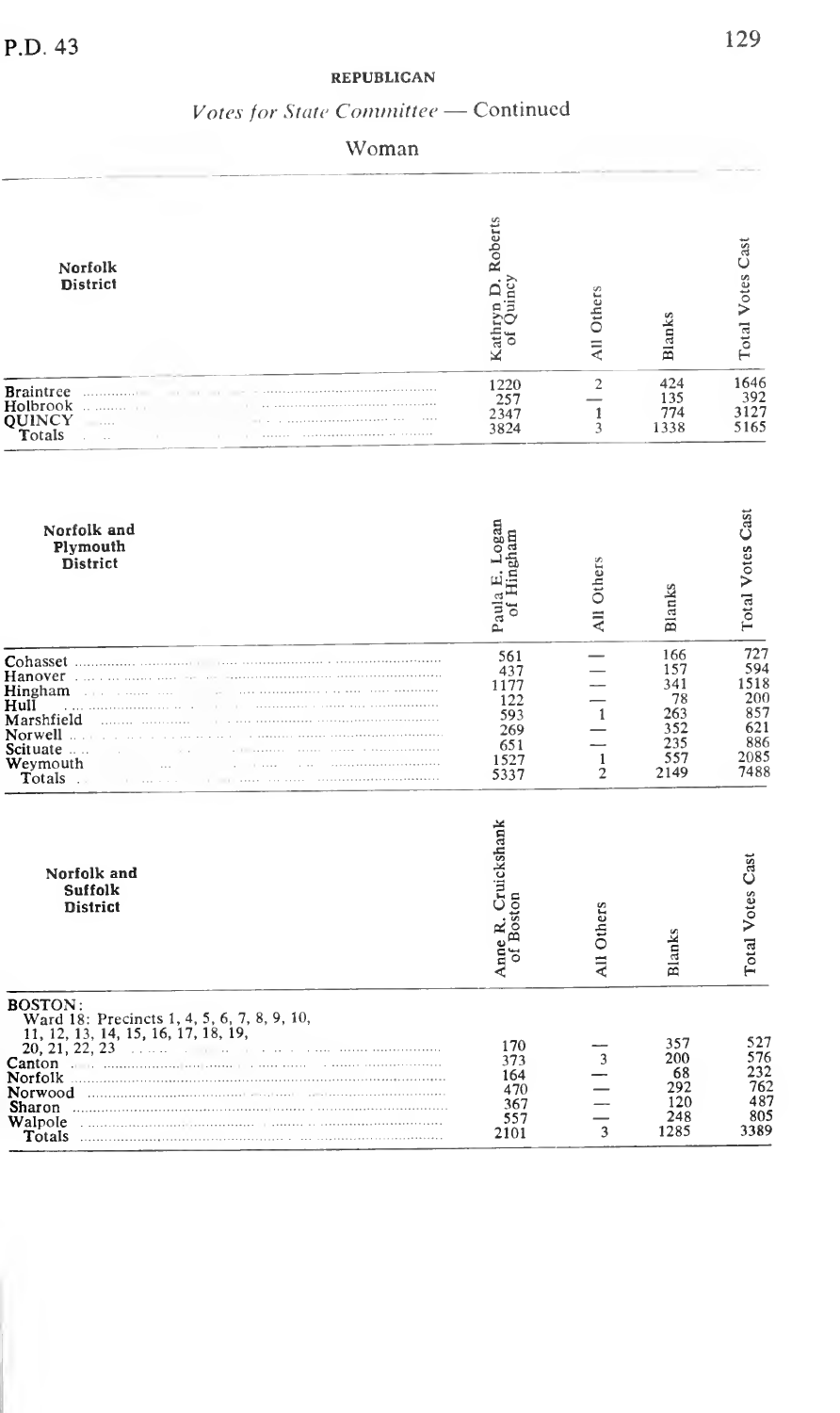# Votes for State Committee — Continued

| Norfolk<br>District                                                                                                                                                                                                                                                       | Kathryn D. Roberts<br>of Quincy                                | All Others                                   | Blanks                                                      | Total Votes Cast                                               |
|---------------------------------------------------------------------------------------------------------------------------------------------------------------------------------------------------------------------------------------------------------------------------|----------------------------------------------------------------|----------------------------------------------|-------------------------------------------------------------|----------------------------------------------------------------|
| <b>Braintree</b><br><b>The Communication of the Communication</b><br>Holbrook<br>the commission of the commission of the<br>QUINCY<br>Totals<br>$\mathcal{L} = \mathcal{L}$                                                                                               | 1220<br>257<br>2347<br>3824                                    | $\overline{\mathbf{c}}$<br>$\mathbf{1}$<br>3 | 424<br>135<br>774<br>1338                                   | 1646<br>392<br>3127<br>5165                                    |
| Norfolk and<br>Plymouth<br><b>District</b>                                                                                                                                                                                                                                | Paula E. Logan<br>of Hingham                                   | All Others                                   | Blanks                                                      | Total Votes Cast                                               |
| <b>The Community Community Community</b><br>Hull<br>a an inneressement of the<br>Marshfield<br>and the committee of the committee<br>Scituate<br>Weymouth<br>and the con-<br>Totals<br>a company of the company and the company of the<br>$\sim$<br>and a state           | 561<br>437<br>1177<br>122<br>593<br>269<br>651<br>1527<br>5337 | $\mathbf{1}$<br>$\frac{1}{2}$                | 166<br>157<br>341<br>78<br>263<br>352<br>235<br>557<br>2149 | 727<br>594<br>1518<br>200<br>857<br>621<br>886<br>2085<br>7488 |
| Norfolk and<br>Suffolk<br><b>District</b>                                                                                                                                                                                                                                 | Anne R. Cruickshank<br>of Boston                               | All Others                                   | Blanks                                                      | Total Votes Cast                                               |
| <b>BOSTON:</b><br>Ward 18: Precincts 1, 4, 5, 6, 7, 8, 9, 10,<br>11, 12, 13, 14, 15, 16, 17, 18, 19,<br>Canton<br>Norfolk<br>Sharon<br>Walpole<br>a martin communication de construction de communication de communication de communication de communication de<br>Totals | 170<br>373<br>164<br>470<br>367<br>557<br>2101                 | 3<br>$\frac{1}{3}$                           | 357<br>200<br>68<br>292<br>120<br>248<br>1285               | 527<br>576<br>232<br>762<br>487<br>805<br>3389                 |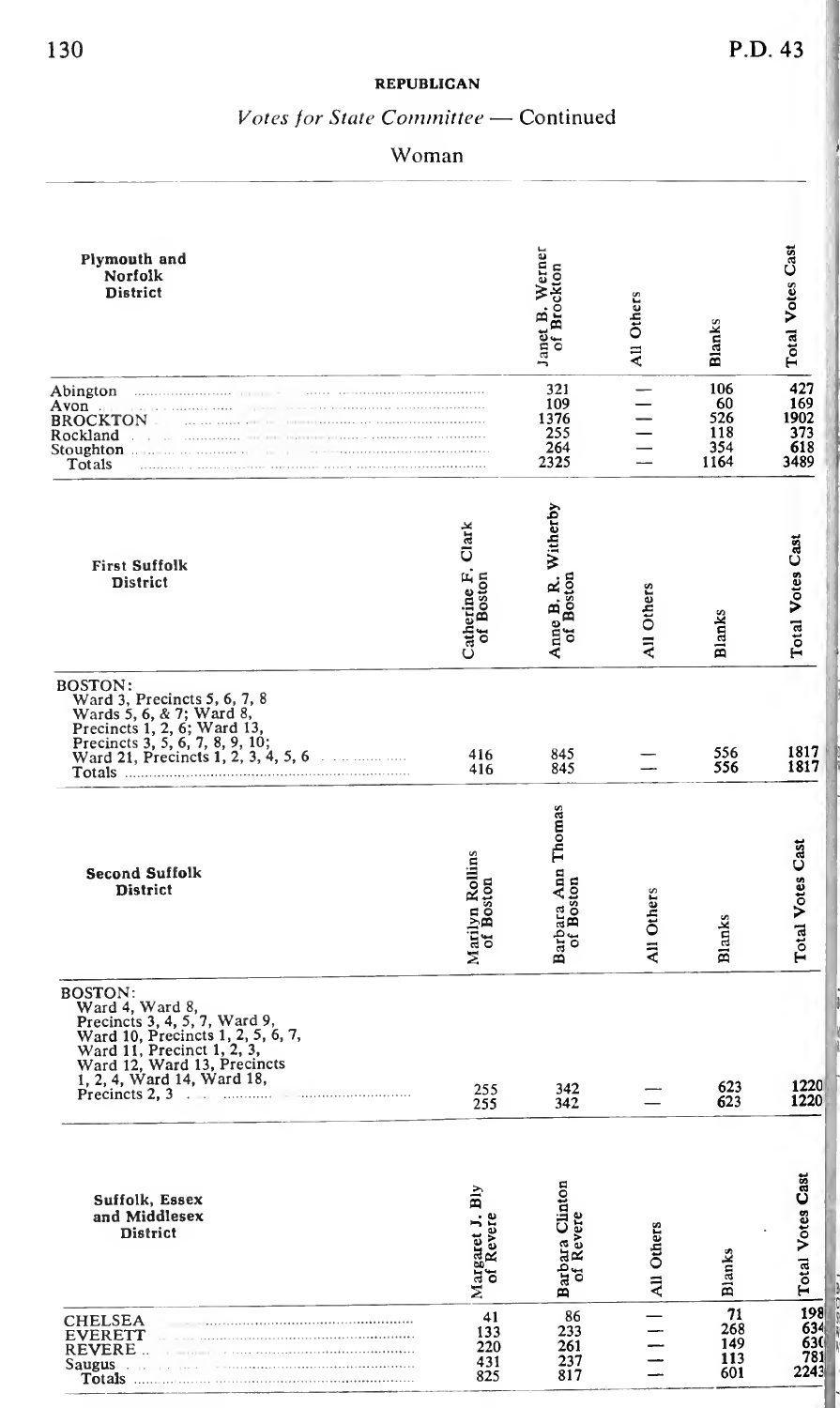# Votes for State Committee — Continued

| Plymouth and<br>Norfolk<br>District                                                                                                                                                                                                                        |                                              | Janet B. Werner<br>of Brockton           |                      | <b>Blanks</b>                                                            | Total Votes Cast                                                                                                            |
|------------------------------------------------------------------------------------------------------------------------------------------------------------------------------------------------------------------------------------------------------------|----------------------------------------------|------------------------------------------|----------------------|--------------------------------------------------------------------------|-----------------------------------------------------------------------------------------------------------------------------|
| Abington<br>Avon<br><b>BROCKTON</b><br>Rockland<br>Stoughton<br>a marie ( ) = ( ) = communication<br>Totals                                                                                                                                                |                                              | 321<br>109<br>$\frac{1376}{255}$<br>2325 | $ 11111 $ All Others | 106<br>$\frac{60}{526}$<br>$\frac{526}{118}$<br>$\frac{354}{54}$<br>1164 | $\begin{array}{r}\n 427 \\  \hline\n 169 \\  \hline\n 1902 \\  373 \\  \hline\n 618 \\  \hline\n 100\n \end{array}$<br>3489 |
| <b>First Suffolk</b><br>District                                                                                                                                                                                                                           | Catherine F. Clark<br>of Boston              | Anne B. R. Witherby<br>of Boston         | All Others           | Blanks                                                                   | Total Votes Cast                                                                                                            |
| BOSTON:<br>Ward 3, Precincts 5, 6, 7, 8<br>Wards 5, 6, & 7; Ward 8,<br>Precincts 1, 2, 6; Ward 13,<br>Precincts 3, 5, 6, 7, 8, 9, 10;<br>Ward 21, Precincts 1, 2, 3, 4, 5, 6<br>Ward 21, Precincts 1, 2, 3, 4, 5, 6<br>the committee of the com-<br>Totals | 416<br>416                                   | 845<br>845                               |                      | 556<br>556                                                               | 1817<br>1817                                                                                                                |
| <b>Second Suffolk</b><br>District                                                                                                                                                                                                                          | Marilyn Rollins<br>of Boston                 | Barbara Ann Thomas<br>of Boston          | All Others           | Blanks                                                                   | Total Votes Cast                                                                                                            |
| BOSTON:<br>Ward 4, Ward 8,<br>Yercincts 3, 4, 5, 7, Ward 9,<br>Ward 10, Precincts 1, 2, 5, 6, 7,<br>Ward 11, Precinct 1, 2, 3,<br>Ward 12, Ward 13, Precincts<br>1, 2, 4, Ward 14, Ward 18,<br>Precincts 2, 3                                              | 255<br>255                                   | 342<br>342                               |                      | $623$<br>$623$                                                           | 1220<br>1220                                                                                                                |
| Suffolk, Essex<br>and Middlesex<br>District                                                                                                                                                                                                                | Margaret J. Bly<br>of Revere                 | Barbara Clinton<br>of Revere             | All Others           | Blanks                                                                   | Total Votes Cast                                                                                                            |
| <b>CHELSEA</b><br>EVERETT<br>REVERE<br>÷.<br>Saugus<br>Totals                                                                                                                                                                                              | 41<br>$\frac{133}{220}$<br>$\frac{431}{825}$ | 86<br>233<br>261<br>237<br>817           |                      | $\frac{71}{268}$<br>113<br>601                                           | 198<br>$634$<br>$63$<br>$781$<br>2243                                                                                       |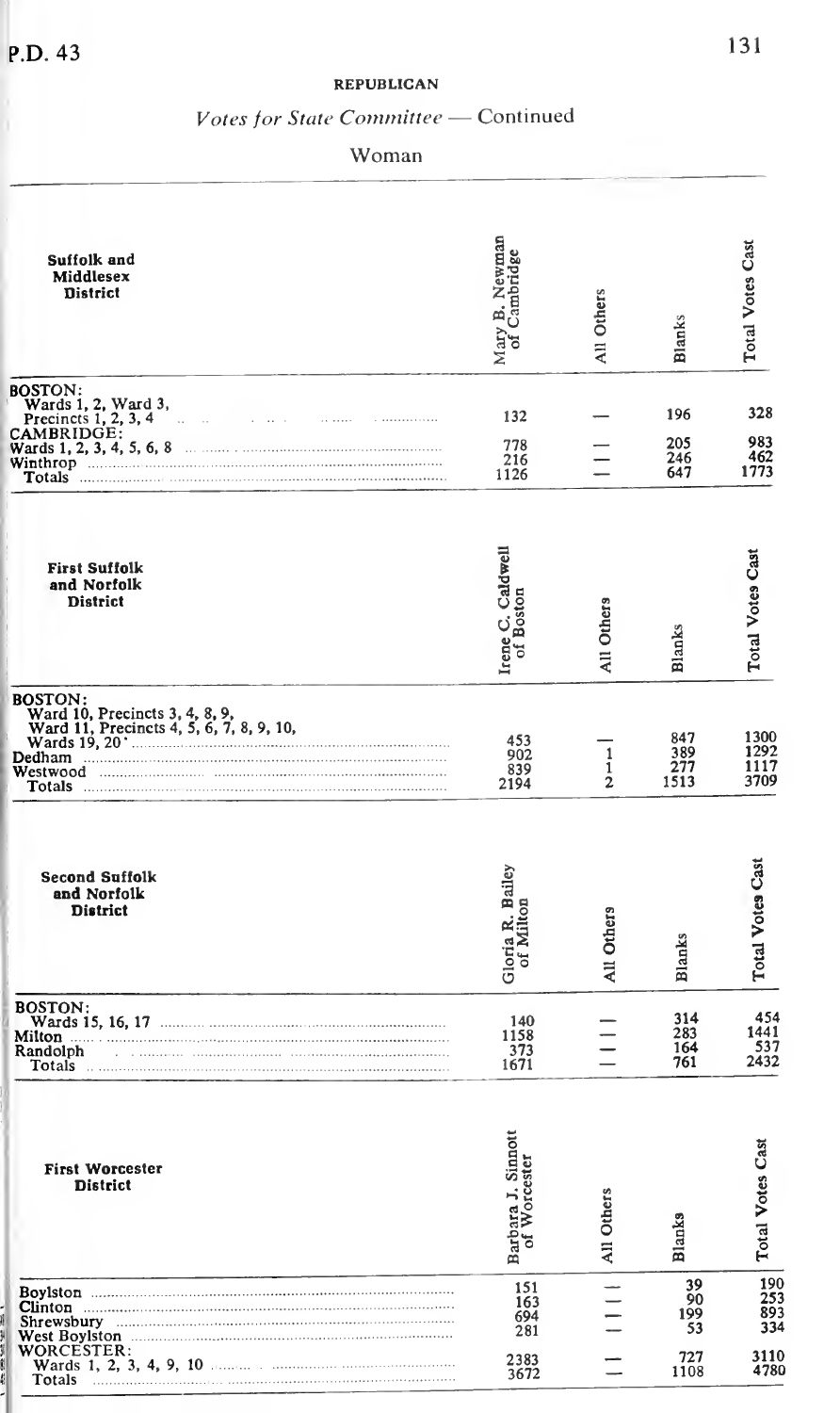### Votes for State Committee - Continued

| Suffolk and<br>Middlesex<br>District                                                                                                                                                                                                                                                                                                                                                                                                                                                | Mary B. Newman<br>of Cambridge     | All Others                      | Blanks                         | Total Votes Cast                  |
|-------------------------------------------------------------------------------------------------------------------------------------------------------------------------------------------------------------------------------------------------------------------------------------------------------------------------------------------------------------------------------------------------------------------------------------------------------------------------------------|------------------------------------|---------------------------------|--------------------------------|-----------------------------------|
| BOSTON:<br>Wards 1, 2, Ward 3,<br>Precincts 1, 2, 3, 4<br>CAMBRIDGE:                                                                                                                                                                                                                                                                                                                                                                                                                | 132                                |                                 | 196                            | 328                               |
| Wards 1, 2, 3, 4, 5, 6, 8<br>Winthrop <b>Election Communication</b> and the <b>Winthrop</b><br>Totals                                                                                                                                                                                                                                                                                                                                                                               | $\frac{778}{216}$<br>1126          |                                 | 205<br>246<br>647              | 983<br>462<br>1773                |
| <b>First Suffolk</b><br>and Norfolk<br><b>District</b>                                                                                                                                                                                                                                                                                                                                                                                                                              | Irene C. Caldwell<br>of Boston     | All Others                      | <b>Blanks</b>                  | Total Votes Cast                  |
| <b>BOSTON:</b><br>Ward 10, Precincts 3, 4, 8, 9,<br>Ward 11, Precincts 4, 5, 6, 7, 8, 9, 10,<br>Wards 19, 20<br>Dedham<br>Westwood<br>Totals                                                                                                                                                                                                                                                                                                                                        | 453<br>902<br>839<br>2194          | $\frac{1}{1}$<br>$\overline{2}$ | 847<br>389<br>277<br>1513      | 1300<br>1292<br>1117<br>3709      |
| <b>Second Suffolk</b><br>and Norfolk<br><b>District</b>                                                                                                                                                                                                                                                                                                                                                                                                                             | Gloria R. Bailey<br>of Milton      | All Others                      | <b>Blanks</b>                  | Total Votes Cast                  |
| Milton<br>Randolph<br>$\begin{minipage}{0.9\linewidth} \begin{tabular}{l} \hline \textbf{1} & \textbf{1} & \textbf{1} & \textbf{1} & \textbf{1} & \textbf{1} & \textbf{1} & \textbf{1} & \textbf{1} & \textbf{1} & \textbf{1} & \textbf{1} & \textbf{1} & \textbf{1} & \textbf{1} & \textbf{1} & \textbf{1} & \textbf{1} & \textbf{1} & \textbf{1} & \textbf{1} & \textbf{1} & \textbf{1} & \textbf{1} & \textbf{1} & \textbf{1} & \textbf{1} & \textbf{1} &$<br>Totals<br><b>A</b> | 140<br>1158<br>373<br>1671         |                                 | $314$<br>$283$<br>$164$<br>761 | 454<br>$\frac{1441}{537}$<br>2432 |
| <b>First Worcester</b><br><b>District</b>                                                                                                                                                                                                                                                                                                                                                                                                                                           | Barbara J. Sinnott<br>of Worcester | All Others                      | <b>Blanks</b>                  | <b>Total Votes Cast</b>           |
| Clinton<br>Shrewsbury                                                                                                                                                                                                                                                                                                                                                                                                                                                               | 151<br>163<br>694<br>281           |                                 | 39<br>$\frac{90}{199}$         | $\frac{190}{253}$<br>893<br>334   |
| <b>WORCESTER:</b><br>Totals                                                                                                                                                                                                                                                                                                                                                                                                                                                         | 2383<br>3672                       |                                 | 727<br>1108                    | 3110<br>4780                      |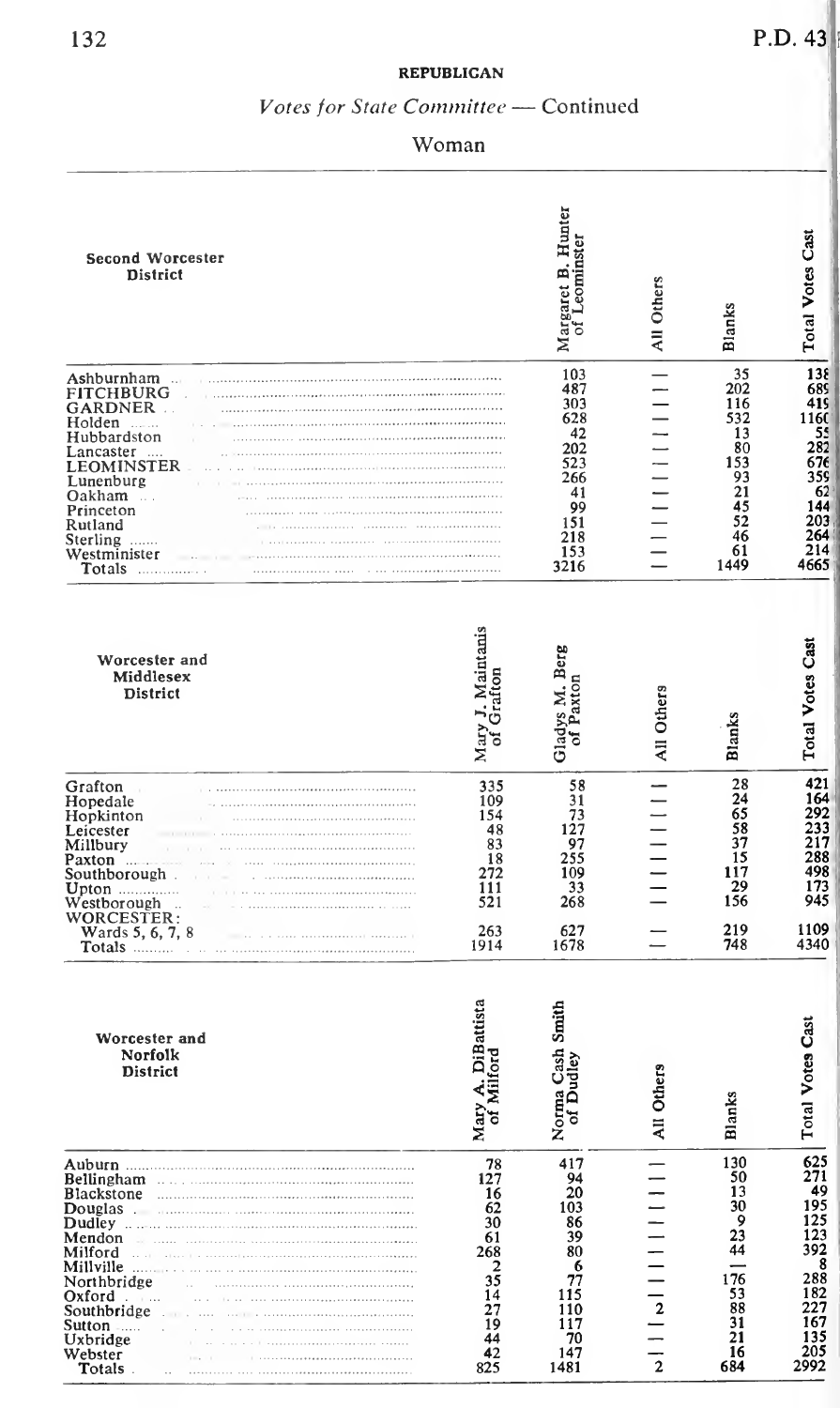# Votes for State Committee — Continued

| <b>Second Worcester</b><br>District                                                                                                                                                                                                                                                                                                                                                                                                                                                                                                                                                                                                                                                                                                     |                                                                                                         | Margaret B. Hunter<br>of Leominster                                                                                      | All Others       | Blanks                                                                                                                    | Total Votes Cast                                                                                                       |
|-----------------------------------------------------------------------------------------------------------------------------------------------------------------------------------------------------------------------------------------------------------------------------------------------------------------------------------------------------------------------------------------------------------------------------------------------------------------------------------------------------------------------------------------------------------------------------------------------------------------------------------------------------------------------------------------------------------------------------------------|---------------------------------------------------------------------------------------------------------|--------------------------------------------------------------------------------------------------------------------------|------------------|---------------------------------------------------------------------------------------------------------------------------|------------------------------------------------------------------------------------------------------------------------|
| Ashburnham<br><b>FITCHBURG</b><br>GARDNER.<br>Holden<br>$\cdots$<br>Hubbardston<br>Lancaster<br>LEOMINSTER<br>Lunenburg<br>Oakham<br>$\sim$ 100 $\pm$<br>Princeton<br>Rutland<br>Sterling<br>Westminister<br>Totals<br>.                                                                                                                                                                                                                                                                                                                                                                                                                                                                                                                |                                                                                                         | 103<br>487<br>303<br>628<br>42<br>202<br>523<br>266<br>41<br>99<br>151<br>218<br>153<br>3216                             | ___________<br>_ | $\frac{35}{202}$<br>116<br>532<br>13<br>80<br>153<br>93<br>21<br>45<br>52<br>46<br>61<br>1449                             | 138<br>685<br>415<br>116<br>55<br>282<br>67<br>55<br>52<br>44<br>44<br>203<br>$\frac{264}{214}$<br>4665                |
| Worcester and<br>Middlesex<br>District                                                                                                                                                                                                                                                                                                                                                                                                                                                                                                                                                                                                                                                                                                  | Mary J. Maintanis<br>of Grafton                                                                         | Gladys M. Berg<br>of Paxton                                                                                              | All Others       | Blanks                                                                                                                    | <b>Total Votes Cast</b>                                                                                                |
| Grafton<br>Hopedale<br>Hopkinton<br>Leicester<br>Millbury<br>Paxton<br>$\label{eq:1} \begin{minipage}{0.9\linewidth} \begin{minipage}{0.9\linewidth} \begin{minipage}{0.9\linewidth} \begin{minipage}{0.9\linewidth} \end{minipage} \begin{minipage}{0.9\linewidth} \begin{minipage}{0.9\linewidth} \end{minipage} \end{minipage} \begin{minipage}{0.9\linewidth} \begin{minipage}{0.9\linewidth} \begin{minipage}{0.9\linewidth} \end{minipage} \end{minipage} \begin{minipage}{0.9\linewidth} \begin{minipage}{0.9\linewidth} \end{minipage} \end{minipage} \begin{minipage}{0.9\linewidth} \begin{minipage}{0$<br>Southborough<br>Upton<br>$\mathbf{r} \cdot \mathbf{r}$ .<br>Westborough<br>J.<br>the control of the control of the | 335<br>109<br>154<br>$\frac{48}{83}$<br>18<br>272<br>111<br>521                                         | 58<br>31<br>$\frac{73}{127}$<br>97<br>255<br>109<br>33<br>268                                                            |                  | 28<br>24<br>55<br>58<br>58<br>37<br>15<br>117<br>$\frac{29}{156}$                                                         | 421<br>164<br>292<br>233<br>217<br>217<br>288<br>498<br>173<br>945                                                     |
| WORCESTER:<br>Wards 5, 6, 7, 8<br>Totals                                                                                                                                                                                                                                                                                                                                                                                                                                                                                                                                                                                                                                                                                                | 263<br>1914                                                                                             | $\frac{627}{1678}$                                                                                                       |                  | 219<br>748                                                                                                                | 1109<br>4340                                                                                                           |
| Worcester and<br>Norfolk<br>District                                                                                                                                                                                                                                                                                                                                                                                                                                                                                                                                                                                                                                                                                                    | Mary A. DiBattista<br>of Milford                                                                        | Norma Cash Smith<br>of Dudley                                                                                            | All Others       | Blanks                                                                                                                    | Total Votes Cast                                                                                                       |
| Mendon<br>a ma minimum minimum mananan<br>Milford<br>Millville<br>Northbridge<br>Oxford<br>Southbridge<br>Sutton<br>Uxbridge<br>Webster<br>Totals                                                                                                                                                                                                                                                                                                                                                                                                                                                                                                                                                                                       | 78<br>127<br>16<br>62<br>30<br>61<br>$\frac{268}{35}$<br>$\frac{35}{14}$<br>27<br>19<br>44<br>42<br>825 | 417<br>$\frac{94}{20}$<br>103<br>86<br>39<br>$\overline{80}$<br>6<br>$\frac{77}{115}$<br>110<br>117<br>70<br>147<br>1481 |                  | 130<br>$\frac{50}{13}$<br>$rac{30}{9}$<br>23<br>44<br>$\frac{176}{53}$<br>$\frac{53}{88}$<br>$\frac{31}{21}$<br>16<br>684 | $\frac{625}{271}$<br>$-495$<br>$195$<br>$123$<br>$392$<br>$88$<br>$182$<br>$227$<br>$167$<br>$\frac{135}{205}$<br>2992 |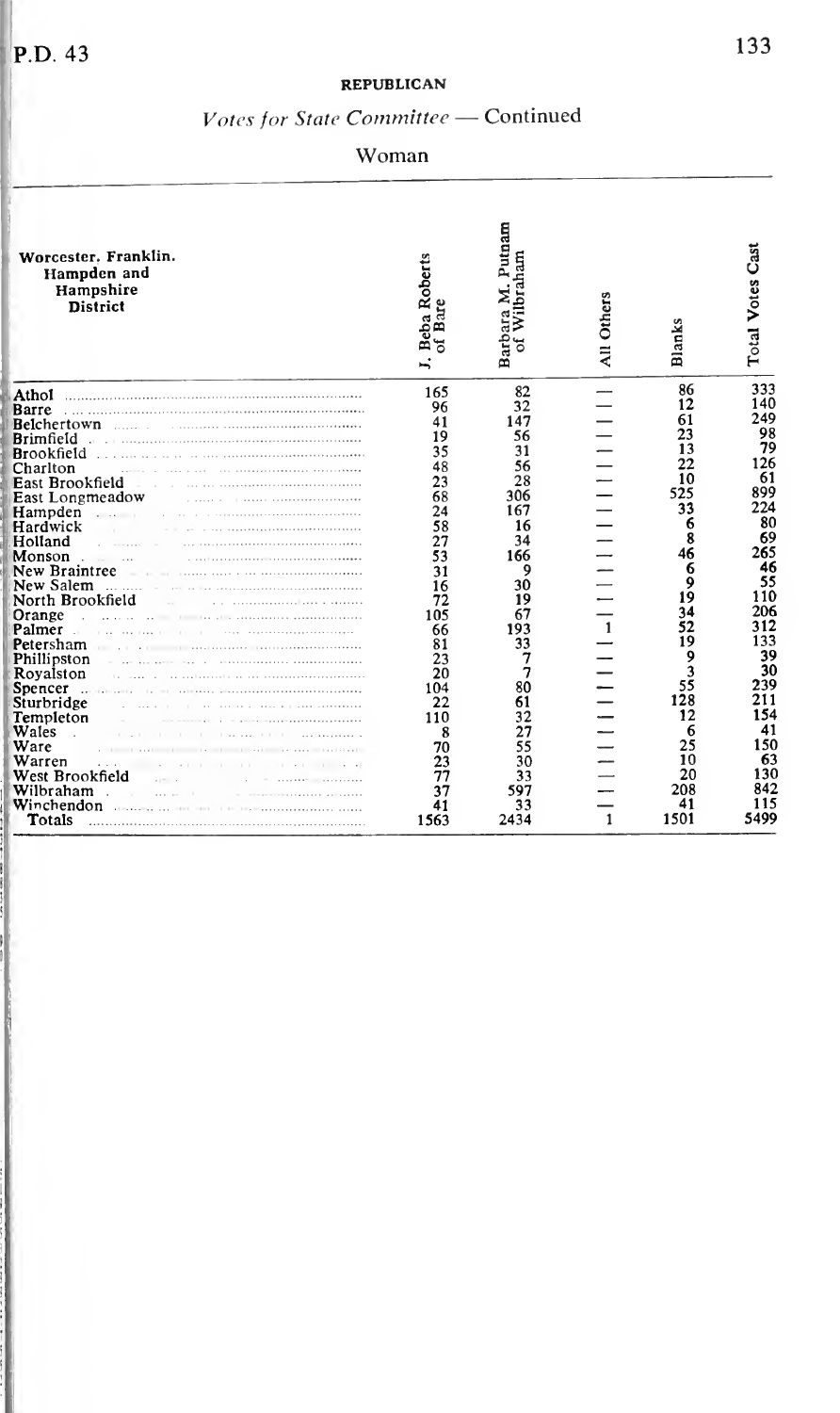### Votes for State Committee — Continued

| 333<br>86<br>82<br>165<br>140<br>12<br>32<br>96<br>Barre<br>249<br>61<br>147<br>41<br>98<br>23<br>56<br>19<br>79<br>13<br>31<br>35<br>126<br>22<br>56<br>48<br>Charlton<br>The company of the company of the company and a company of the company of the company of the company of the company of the company of the company of the company of the company of the company of the company of the company o<br>61<br>10<br>28<br>23<br>East Brookfield<br>899<br>525<br>306<br>68<br>East Longmeadow<br>224<br>33<br>167<br>24<br>Hampden<br>$-100 - 100$<br>80<br>6<br>16<br>58<br>Hardwick<br>$\sim$ 0.000 $\sim$ 0.000 $\sim$ 0.000 $\sim$ 0.000 $\sim$ 0.000 $\sim$ 0.000 $\sim$ 0.000 $\sim$<br>69<br>8<br>34<br>Holland<br>27<br>265<br>46<br>166<br>53<br>Monson<br>and the control<br>46<br>6<br>New Braintree<br>31<br>9<br>and the first participation of the accommodation of<br>55<br>9<br>30<br>16<br>110<br>19<br>19<br>North Brookfield<br>72<br>206<br>34<br>67<br>105<br>Orange<br>the company of the company of the company of the company of the company of the company of the company of the company of the company of the company of the company of the company of the company of the company of the company |
|---------------------------------------------------------------------------------------------------------------------------------------------------------------------------------------------------------------------------------------------------------------------------------------------------------------------------------------------------------------------------------------------------------------------------------------------------------------------------------------------------------------------------------------------------------------------------------------------------------------------------------------------------------------------------------------------------------------------------------------------------------------------------------------------------------------------------------------------------------------------------------------------------------------------------------------------------------------------------------------------------------------------------------------------------------------------------------------------------------------------------------------------------------------------------------------------------------------------------------|
|                                                                                                                                                                                                                                                                                                                                                                                                                                                                                                                                                                                                                                                                                                                                                                                                                                                                                                                                                                                                                                                                                                                                                                                                                                 |
|                                                                                                                                                                                                                                                                                                                                                                                                                                                                                                                                                                                                                                                                                                                                                                                                                                                                                                                                                                                                                                                                                                                                                                                                                                 |
|                                                                                                                                                                                                                                                                                                                                                                                                                                                                                                                                                                                                                                                                                                                                                                                                                                                                                                                                                                                                                                                                                                                                                                                                                                 |
|                                                                                                                                                                                                                                                                                                                                                                                                                                                                                                                                                                                                                                                                                                                                                                                                                                                                                                                                                                                                                                                                                                                                                                                                                                 |
|                                                                                                                                                                                                                                                                                                                                                                                                                                                                                                                                                                                                                                                                                                                                                                                                                                                                                                                                                                                                                                                                                                                                                                                                                                 |
|                                                                                                                                                                                                                                                                                                                                                                                                                                                                                                                                                                                                                                                                                                                                                                                                                                                                                                                                                                                                                                                                                                                                                                                                                                 |
|                                                                                                                                                                                                                                                                                                                                                                                                                                                                                                                                                                                                                                                                                                                                                                                                                                                                                                                                                                                                                                                                                                                                                                                                                                 |
|                                                                                                                                                                                                                                                                                                                                                                                                                                                                                                                                                                                                                                                                                                                                                                                                                                                                                                                                                                                                                                                                                                                                                                                                                                 |
|                                                                                                                                                                                                                                                                                                                                                                                                                                                                                                                                                                                                                                                                                                                                                                                                                                                                                                                                                                                                                                                                                                                                                                                                                                 |
|                                                                                                                                                                                                                                                                                                                                                                                                                                                                                                                                                                                                                                                                                                                                                                                                                                                                                                                                                                                                                                                                                                                                                                                                                                 |
|                                                                                                                                                                                                                                                                                                                                                                                                                                                                                                                                                                                                                                                                                                                                                                                                                                                                                                                                                                                                                                                                                                                                                                                                                                 |
|                                                                                                                                                                                                                                                                                                                                                                                                                                                                                                                                                                                                                                                                                                                                                                                                                                                                                                                                                                                                                                                                                                                                                                                                                                 |
|                                                                                                                                                                                                                                                                                                                                                                                                                                                                                                                                                                                                                                                                                                                                                                                                                                                                                                                                                                                                                                                                                                                                                                                                                                 |
|                                                                                                                                                                                                                                                                                                                                                                                                                                                                                                                                                                                                                                                                                                                                                                                                                                                                                                                                                                                                                                                                                                                                                                                                                                 |
| 312<br>52<br>$\mathbf{1}$<br>193<br>Palmer and the community of the community of the community of the community of the community of the community of the community of the community of the community of the community of the community of the community of the com<br>66<br>133                                                                                                                                                                                                                                                                                                                                                                                                                                                                                                                                                                                                                                                                                                                                                                                                                                                                                                                                                 |
| 19<br>33<br>81<br>Petersham<br>39                                                                                                                                                                                                                                                                                                                                                                                                                                                                                                                                                                                                                                                                                                                                                                                                                                                                                                                                                                                                                                                                                                                                                                                               |
| 9<br>23<br>7<br>Phillipston<br>The second company of the company of the company of the second company of the second company of the second company of the second company of the second company of the second company of the second company of the second compa<br>30                                                                                                                                                                                                                                                                                                                                                                                                                                                                                                                                                                                                                                                                                                                                                                                                                                                                                                                                                             |
| 3<br>7<br>20<br>Rovalston<br>The same of the continuously as you assumed the continuously as<br>239<br>55                                                                                                                                                                                                                                                                                                                                                                                                                                                                                                                                                                                                                                                                                                                                                                                                                                                                                                                                                                                                                                                                                                                       |
| 80<br>104<br>Spencer and and a manufacturer communications<br>128<br>211<br>61                                                                                                                                                                                                                                                                                                                                                                                                                                                                                                                                                                                                                                                                                                                                                                                                                                                                                                                                                                                                                                                                                                                                                  |
| 22<br>Sturbridge<br>12<br>154<br>32<br>110                                                                                                                                                                                                                                                                                                                                                                                                                                                                                                                                                                                                                                                                                                                                                                                                                                                                                                                                                                                                                                                                                                                                                                                      |
| Templeton<br>The company's the company continued to the contract of the<br>41<br>27<br>6<br>Wales                                                                                                                                                                                                                                                                                                                                                                                                                                                                                                                                                                                                                                                                                                                                                                                                                                                                                                                                                                                                                                                                                                                               |
| 8<br>The Committee of the Committee of the Committee of<br>$\sim$<br>150<br>25<br>55<br>Ware<br>70<br>a comparative comparative and the comparative comparative comparative                                                                                                                                                                                                                                                                                                                                                                                                                                                                                                                                                                                                                                                                                                                                                                                                                                                                                                                                                                                                                                                     |
| 63<br>10<br>30<br>Warren<br>23<br>and the company of the company of the company of the company of the company of the company of the company of the company of the company of the company of the company of the company of the company of the company of the comp                                                                                                                                                                                                                                                                                                                                                                                                                                                                                                                                                                                                                                                                                                                                                                                                                                                                                                                                                                |
| 130<br>20<br>33<br>77<br>West Brookfield<br>the common common<br>$\sim$                                                                                                                                                                                                                                                                                                                                                                                                                                                                                                                                                                                                                                                                                                                                                                                                                                                                                                                                                                                                                                                                                                                                                         |
| 842<br>208<br>Wilbraham.<br>597<br>37<br>$\sim$<br>and and the<br>a comprehensive construction                                                                                                                                                                                                                                                                                                                                                                                                                                                                                                                                                                                                                                                                                                                                                                                                                                                                                                                                                                                                                                                                                                                                  |
| 115<br>41<br>33<br>41                                                                                                                                                                                                                                                                                                                                                                                                                                                                                                                                                                                                                                                                                                                                                                                                                                                                                                                                                                                                                                                                                                                                                                                                           |
| 5499<br>$\mathbf{1}$<br>1501<br>2434<br>1563<br>Totals                                                                                                                                                                                                                                                                                                                                                                                                                                                                                                                                                                                                                                                                                                                                                                                                                                                                                                                                                                                                                                                                                                                                                                          |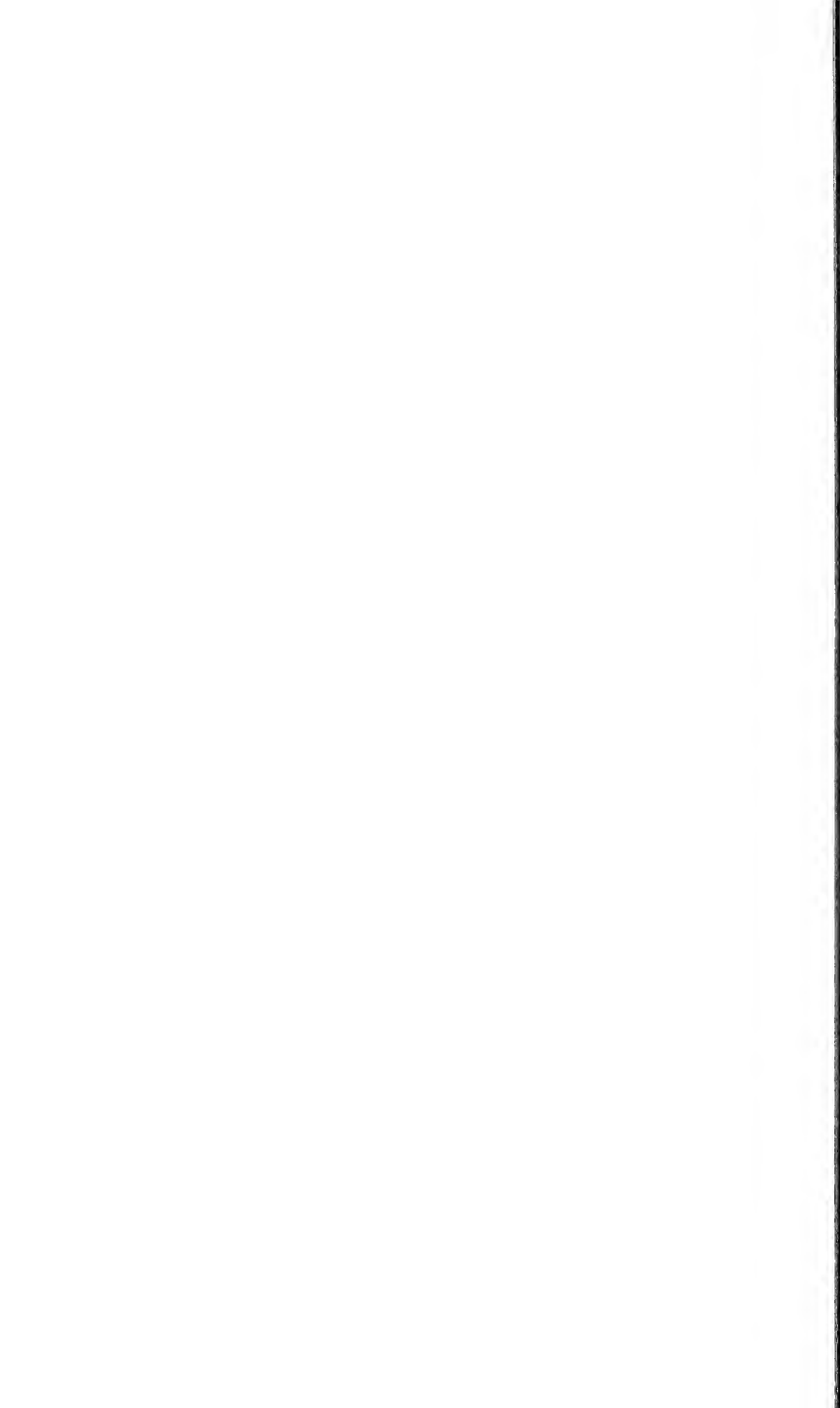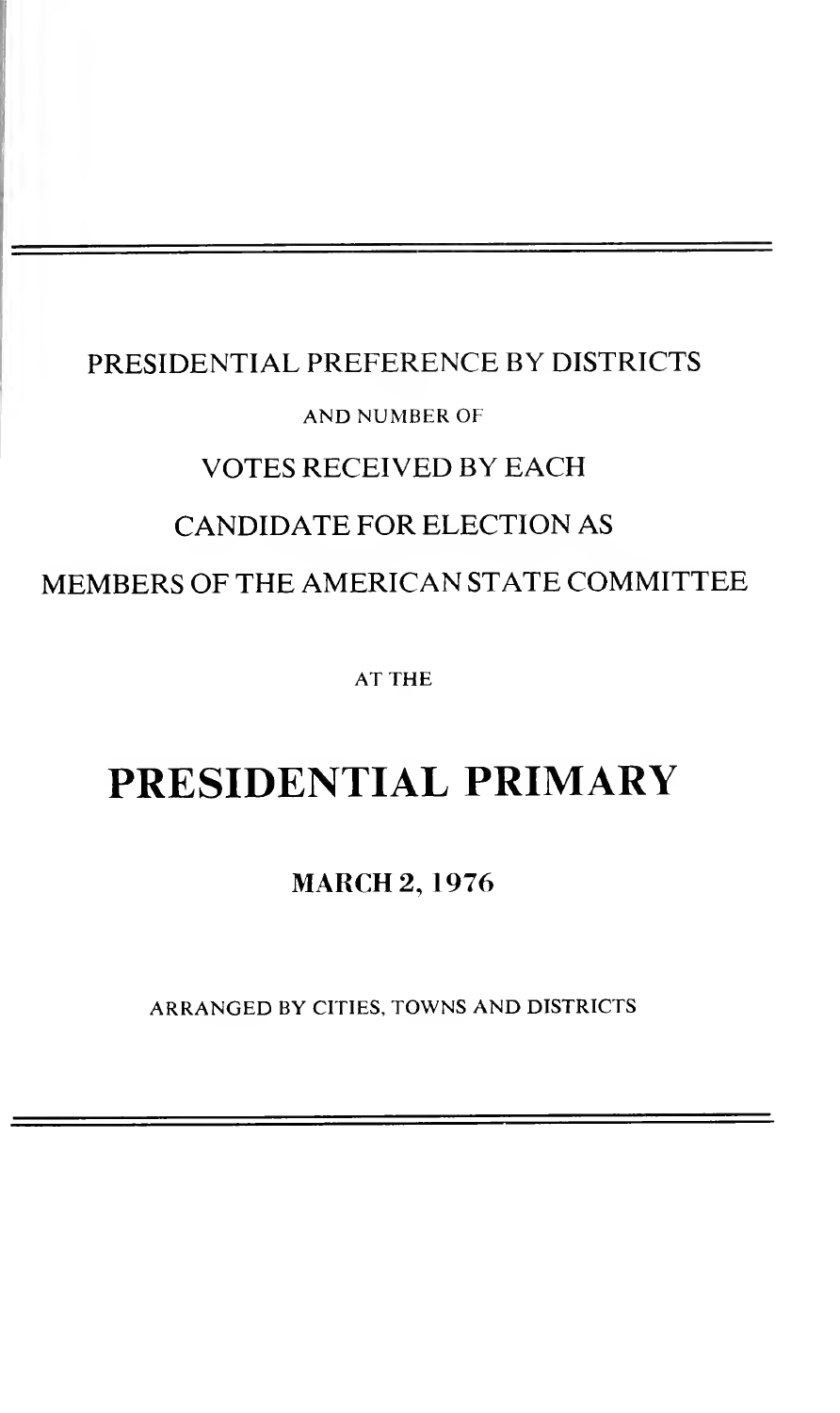# PRESIDENTIAL PREFERENCE BY DISTRICTS AND NUMBER OF VOTES RECEIVED BY EACH CANDIDATE FOR ELECTION AS

MEMBERS OF THE AMERICAN STATE COMMITTEE

AT THE

# PRESIDENTIAL PRIMARY

# MARCH 2, 1976

ARRANGED BY CITIES, TOWNS AND DISTRICTS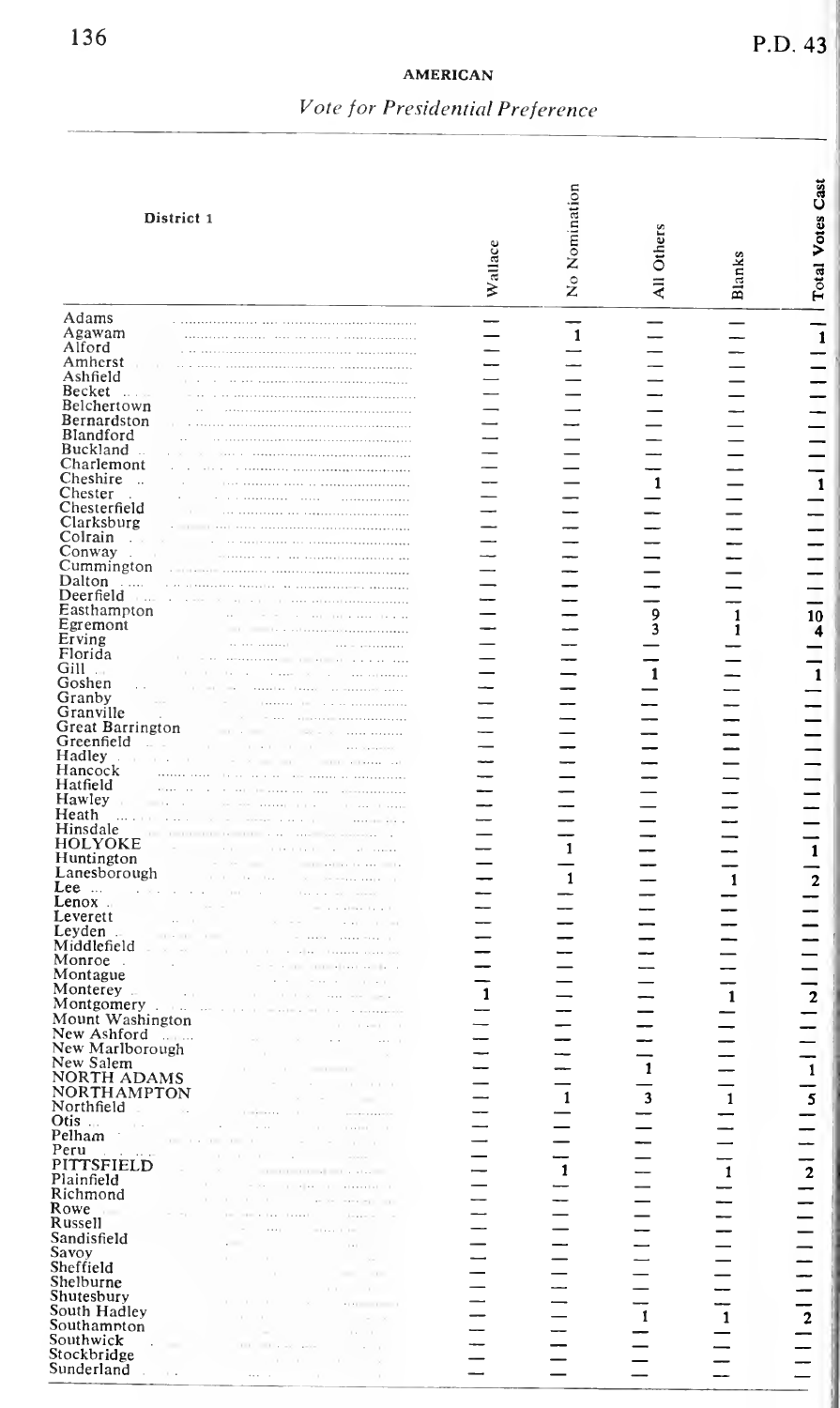### AMERICAN

# Vote for Presidential Preference

| District 1                                                                                                                                                                                                                                                                                                                                                                                                                                                                                                                                    | Wallace | Nomination<br>ż | All Others | Blanks | Cast<br>Total Votes |
|-----------------------------------------------------------------------------------------------------------------------------------------------------------------------------------------------------------------------------------------------------------------------------------------------------------------------------------------------------------------------------------------------------------------------------------------------------------------------------------------------------------------------------------------------|---------|-----------------|------------|--------|---------------------|
| Adams                                                                                                                                                                                                                                                                                                                                                                                                                                                                                                                                         |         |                 |            |        | $\overline{1}$      |
| Agawam                                                                                                                                                                                                                                                                                                                                                                                                                                                                                                                                        |         |                 |            |        |                     |
| Alford<br>Amherst                                                                                                                                                                                                                                                                                                                                                                                                                                                                                                                             |         |                 |            |        |                     |
| Ashfield<br>and the contract of the communication of the contract of the contract of the contract of the contract of the contract of the contract of the contract of the contract of the contract of the contract of the contract of the c                                                                                                                                                                                                                                                                                                    |         |                 |            |        |                     |
| Becket<br>$\begin{minipage}[c]{0.9\linewidth} \begin{tabular}{l} \hline \textbf{1} & \textbf{1} & \textbf{1} & \textbf{1} & \textbf{1} & \textbf{1} & \textbf{1} & \textbf{1} & \textbf{1} & \textbf{1} & \textbf{1} & \textbf{1} & \textbf{1} & \textbf{1} & \textbf{1} & \textbf{1} & \textbf{1} & \textbf{1} & \textbf{1} & \textbf{1} & \textbf{1} & \textbf{1} & \textbf{1} & \textbf{1} & \textbf{1} & \textbf{1} & \textbf{1} & \textbf{1$                                                                                             |         |                 |            |        |                     |
| Belchertown<br>the communication of the communications                                                                                                                                                                                                                                                                                                                                                                                                                                                                                        |         |                 |            |        |                     |
| Bernardston                                                                                                                                                                                                                                                                                                                                                                                                                                                                                                                                   |         |                 |            |        |                     |
| Blandford                                                                                                                                                                                                                                                                                                                                                                                                                                                                                                                                     |         |                 |            |        |                     |
| Buckland<br>Commission Commission and Commission<br>Charlemont                                                                                                                                                                                                                                                                                                                                                                                                                                                                                |         |                 |            |        | ニニニュ                |
| a complete the community community community<br>Cheshire<br>the community of the community of the community of the community of the community of the community of the community of the community of the community of the community of the community of the community of the community of t                                                                                                                                                                                                                                                    |         |                 |            |        |                     |
| Chester<br>characteristic and communities                                                                                                                                                                                                                                                                                                                                                                                                                                                                                                     |         |                 |            |        |                     |
| Chesterfield                                                                                                                                                                                                                                                                                                                                                                                                                                                                                                                                  |         |                 |            |        |                     |
| Clarksburg<br>the common construction of the common common construction of the common construction of the common common common                                                                                                                                                                                                                                                                                                                                                                                                                |         |                 |            |        |                     |
| Colrain<br><b>A Committee Committee Committee Committee Committee</b>                                                                                                                                                                                                                                                                                                                                                                                                                                                                         |         |                 |            |        |                     |
| Conway<br>and the company of the company company of<br>Cummington<br>consistente a militar como comunicamente como                                                                                                                                                                                                                                                                                                                                                                                                                            |         |                 |            |        |                     |
|                                                                                                                                                                                                                                                                                                                                                                                                                                                                                                                                               |         |                 |            |        |                     |
|                                                                                                                                                                                                                                                                                                                                                                                                                                                                                                                                               |         |                 |            |        |                     |
| Easthampton                                                                                                                                                                                                                                                                                                                                                                                                                                                                                                                                   |         |                 |            |        |                     |
| $\label{eq:1.1} \begin{array}{l} \alpha_{1}=\alpha_{1}+\alpha_{2}+\alpha_{3}+\alpha_{4}+\alpha_{5}+\alpha_{6}+\alpha_{7}+\alpha_{8}\\ \vdots\\ \alpha_{n}=\alpha_{1}+\alpha_{2}+\alpha_{3}+\alpha_{4}+\alpha_{5}+\alpha_{6}+\alpha_{7}+\alpha_{8}+\alpha_{9}+\alpha_{10}+\alpha_{10}\\ \end{array}$<br>Egremont                                                                                                                                                                                                                               |         |                 |            |        |                     |
| Erving                                                                                                                                                                                                                                                                                                                                                                                                                                                                                                                                        |         |                 |            |        |                     |
| Florida<br>$Gill$                                                                                                                                                                                                                                                                                                                                                                                                                                                                                                                             |         |                 |            |        |                     |
| $\alpha$ , we can be a second or $\alpha$ , and $\alpha$<br>Goshen<br>the state of the company company and the state of the state of the state of                                                                                                                                                                                                                                                                                                                                                                                             |         |                 |            |        |                     |
| Granby<br>the community of the manufacturer<br>$\sim$                                                                                                                                                                                                                                                                                                                                                                                                                                                                                         |         |                 |            |        |                     |
| Granville<br>$\begin{minipage}{0.9\linewidth} \begin{tabular}{l} \hline \multicolumn{3}{c}{\textbf{0.9\linewidth}} \end{tabular} \end{minipage} \begin{minipage}{0.9\linewidth} \begin{tabular}{l} \hline \multicolumn{3}{c}{\textbf{0.9\linewidth}} \end{tabular} \end{minipage} \begin{minipage}{0.9\linewidth} \begin{tabular}{l} \hline \multicolumn{3}{c}{\textbf{0.9\linewidth}} \end{tabular} \end{minipage} \begin{minipage}{0.9\linewidth} \begin{tabular}{l} \hline \multicolumn{3}{c}{\textbf{0.9\linewidth}} \end{tabular} \end{$ |         |                 |            |        |                     |
| Great Barrington                                                                                                                                                                                                                                                                                                                                                                                                                                                                                                                              |         |                 |            |        |                     |
| Greenfield<br>$\Theta(\mathcal{B}) = -\mathcal{A}(\mathcal{B}) = 0$ , we have the $\mathcal{A}(\mathcal{B})$<br>$\sim$ $\sim$ $\sim$                                                                                                                                                                                                                                                                                                                                                                                                          |         |                 |            |        |                     |
| Hadley<br>Hancock                                                                                                                                                                                                                                                                                                                                                                                                                                                                                                                             |         |                 |            |        |                     |
| Hatfield<br>the company of the company of the company of                                                                                                                                                                                                                                                                                                                                                                                                                                                                                      |         |                 |            |        |                     |
| Hawley                                                                                                                                                                                                                                                                                                                                                                                                                                                                                                                                        |         |                 |            |        |                     |
| Hawley<br>Heath Heath and the contract of the contract of the contract of the contract of the contract of the contract of the contract of the contract of the contract of the contract of the contract of the contract of the con                                                                                                                                                                                                                                                                                                             |         |                 |            |        |                     |
| Hinsdale<br>The continuum of the first $\alpha$ , and then answers $\alpha$ .                                                                                                                                                                                                                                                                                                                                                                                                                                                                 |         |                 |            |        |                     |
| HOLYOKE<br>the company of the company of the company                                                                                                                                                                                                                                                                                                                                                                                                                                                                                          |         |                 |            |        |                     |
| Huntington                                                                                                                                                                                                                                                                                                                                                                                                                                                                                                                                    |         |                 |            |        |                     |
| Lanesborough<br>$\mathbf{x}$ . The mass company $\mathbf{y}$<br>Lee<br>$\sim$<br>contractors and                                                                                                                                                                                                                                                                                                                                                                                                                                              |         |                 |            |        |                     |
| $\mathbf{r}_i(\mathbf{r}_i) = \mathbf{r}_i(\mathbf{r}_i)$ , $\mathbf{r}_i(\mathbf{r}_i) = \mathbf{r}_i(\mathbf{r}_i)$ , and the second<br>Lenox                                                                                                                                                                                                                                                                                                                                                                                               |         |                 |            |        |                     |
| Leverett                                                                                                                                                                                                                                                                                                                                                                                                                                                                                                                                      |         |                 |            |        |                     |
| $\label{eq:2.1} \begin{array}{c} \mathcal{R}_{\text{max}}(\mathbf{r}) = \mathcal{R}_{\text{max}}(\mathbf{r}) \mathcal{R}_{\text{max}}(\mathbf{r}) \\ \mathcal{R}_{\text{max}}(\mathbf{r}) = \mathcal{R}_{\text{max}}(\mathbf{r}) \mathcal{R}_{\text{max}}(\mathbf{r}) \mathcal{R}_{\text{max}}(\mathbf{r}) \mathcal{R}_{\text{max}}(\mathbf{r}) \mathcal{R}_{\text{max}}(\mathbf{r}) \mathcal{R}_{\text{max}}(\mathbf{r}) \mathcal{R}_{\text{max}}(\mathbf{r}) \mathcal{R}_{\text{max}}(\mathbf$<br>Leyden.<br>and and com-                   |         |                 |            |        |                     |
| Middlefield<br>$\alpha \rightarrow \infty$                                                                                                                                                                                                                                                                                                                                                                                                                                                                                                    |         |                 |            |        |                     |
| Monroe.<br>the second complete with a                                                                                                                                                                                                                                                                                                                                                                                                                                                                                                         |         |                 |            |        |                     |
| Montague<br>$\mathcal{A}(\mathcal{A})$ . In the set of the $\mathcal{A}(\mathcal{A})$<br>Monterey                                                                                                                                                                                                                                                                                                                                                                                                                                             |         |                 |            |        |                     |
| $\mathcal{P}=\{1,2,3,3,\ldots\}$ and<br>Montgomery<br>a composition<br>The commission of the commis-                                                                                                                                                                                                                                                                                                                                                                                                                                          |         |                 |            |        |                     |
| Mount Washington                                                                                                                                                                                                                                                                                                                                                                                                                                                                                                                              |         |                 |            |        |                     |
| New Ashford<br><b>College</b>                                                                                                                                                                                                                                                                                                                                                                                                                                                                                                                 |         |                 |            |        |                     |
| New Marlborough<br>$\sim 100$                                                                                                                                                                                                                                                                                                                                                                                                                                                                                                                 |         |                 |            |        |                     |
| New Salem                                                                                                                                                                                                                                                                                                                                                                                                                                                                                                                                     |         |                 |            |        |                     |
| NORTH ADAMS<br>$\sim 100$<br>NORTHAMPTON                                                                                                                                                                                                                                                                                                                                                                                                                                                                                                      |         |                 |            |        |                     |
| Northfield<br>$\sim$                                                                                                                                                                                                                                                                                                                                                                                                                                                                                                                          |         |                 |            |        |                     |
| Otis<br><b>Contractor</b>                                                                                                                                                                                                                                                                                                                                                                                                                                                                                                                     |         |                 |            |        |                     |
| Pelham<br>a more of<br>$\alpha = 0$                                                                                                                                                                                                                                                                                                                                                                                                                                                                                                           |         |                 |            |        |                     |
| Peru<br>$\mathcal{X} = \mathcal{X} = \mathcal{X}$                                                                                                                                                                                                                                                                                                                                                                                                                                                                                             |         |                 |            |        |                     |
| PITTSFIELD<br>the committee of the commit-                                                                                                                                                                                                                                                                                                                                                                                                                                                                                                    |         |                 |            |        |                     |
| Plainfield<br>a become a present in a consistency                                                                                                                                                                                                                                                                                                                                                                                                                                                                                             |         |                 |            |        |                     |
| Richmond<br>$-1 - 1 - 1$<br>Rowe                                                                                                                                                                                                                                                                                                                                                                                                                                                                                                              |         |                 |            |        |                     |
| $\sim$<br>Russell<br>$\sim$                                                                                                                                                                                                                                                                                                                                                                                                                                                                                                                   |         |                 |            |        |                     |
| Sandisfield                                                                                                                                                                                                                                                                                                                                                                                                                                                                                                                                   |         |                 |            |        |                     |
| Savoy<br>$\mathcal{A}^{\mathcal{A}}$ .                                                                                                                                                                                                                                                                                                                                                                                                                                                                                                        |         |                 |            |        |                     |
| Sheffield                                                                                                                                                                                                                                                                                                                                                                                                                                                                                                                                     |         |                 |            |        |                     |
| Shelburne                                                                                                                                                                                                                                                                                                                                                                                                                                                                                                                                     |         |                 |            |        |                     |
| Shutesbury                                                                                                                                                                                                                                                                                                                                                                                                                                                                                                                                    |         |                 |            |        |                     |
| South Hadley<br>Southampton                                                                                                                                                                                                                                                                                                                                                                                                                                                                                                                   |         |                 |            |        |                     |
| Southwick                                                                                                                                                                                                                                                                                                                                                                                                                                                                                                                                     |         |                 |            |        |                     |
| Stockbridge                                                                                                                                                                                                                                                                                                                                                                                                                                                                                                                                   |         |                 |            |        |                     |
| Sunderland<br>$\sim$                                                                                                                                                                                                                                                                                                                                                                                                                                                                                                                          |         |                 |            |        |                     |
|                                                                                                                                                                                                                                                                                                                                                                                                                                                                                                                                               |         |                 |            |        |                     |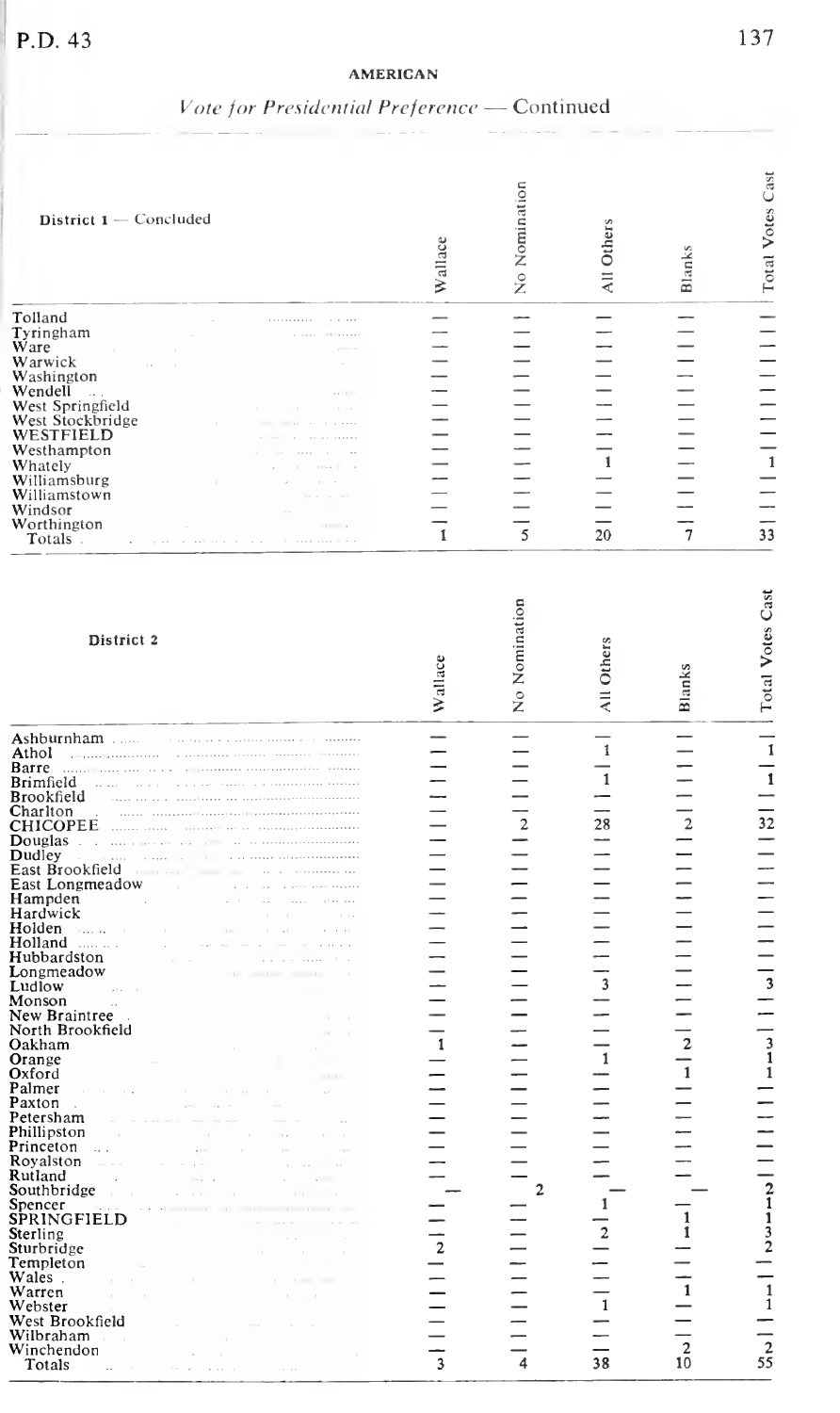### AMERICAN

# Vote for Presidential Preference — Continued

| $\frac{21}{3}$<br>$\frac{1}{1}$<br>$\frac{1}{1}$<br>$\frac{1}{1}$<br>$\frac{1}{1}$<br>$\frac{1}{1}$<br>$\frac{1}{1}$<br>$\frac{1}{1}$<br>$\frac{1}{1}$<br>$\frac{1}{1}$<br>$\frac{1}{1}$<br>$\frac{1}{1}$<br>$\frac{1}{1}$<br>$\frac{1}{1}$<br>$\frac{1}{1}$<br>                               <br>$\overline{\phantom{0}}$<br>$\frac{-1}{1}$<br><b>Contract Service</b><br>Ware<br>$1 - 1 = 1$<br>Wendell<br>West Springfield<br>$\mathcal{A}(\mathcal{C})=\{ \mathcal{A}(\mathcal{C}) \mid \mathcal{C} \in \mathcal{C} \}$<br>The Contract<br>WESTFIELD<br>a control control company<br>Westhampton<br>and the con-<br>$\mathcal{X} = -1$ (see )<br>$\frac{1}{20}$<br>Williamsburg<br>$\alpha = 100$<br>Williamstown<br>Worthington<br>Totals<br>$\mathbf{r}$ , and an article<br>$\sim$<br>$255$<br>$255$<br>$255$<br>$255$<br>$255$<br>$255$<br>$255$<br>$255$<br>$255$<br>$255$<br>$255$<br>$255$<br>$255$<br>$255$<br>$255$<br>$255$<br>$255$<br>$255$<br>$255$<br>$255$<br>No Nomination<br>District 2<br>All Others<br>Wallace<br>Blanks<br>$\overline{\phantom{0}}$<br>$\,$ $\,$<br>Barre<br>mini nin na sere si pomon minimumo sono<br>Brimfield<br>Brookfield<br>Charlton<br>CHICOPEE<br>and and successful and management<br>Dudley<br>المستشيرة المستقطعات والمنافذ والمراقب<br>East Brookfield <b>East Brookfield</b><br>East Longmeadow<br>Harnpden<br>Hardwick<br>Holden<br>Holland<br>Holland<br>Hubbardston<br>Lonomeadow<br>Longmeadow<br>on control commercial and<br>$\sim 100$<br>Monson<br>$\sim$<br>New Braintree.<br>$\alpha \rightarrow \alpha$<br>Oakham<br>Orange<br>$\sim$<br>Palmer<br>$\mathcal{A}^{\pm}$ .<br>$\mathcal{A}^{\prime}$ . In the<br>Paxton<br>$\label{eq:1.1} \begin{array}{c} \mathcal{O}(n) = 10^{-1} \end{array}$ where $\mathcal{O}(n)$<br>Petersham<br>Phillipston<br>$\sim$<br>$\lambda$<br>Princeton<br>$\sim$<br>$\sim$<br>Frinceson<br>Royalston<br>Rutland<br>Southbridge<br>$\overline{c}$<br>SPRINGFIELD<br>Sturbridge<br>Templeton<br>$\sim$<br>Warren<br>$\mathcal{N}$<br>Webster<br>Wilbraham<br>Winchendon<br>Totals | District $1 -$ Concluded                                | Wallace | No Nomination | All Others | Blanks |  |
|-----------------------------------------------------------------------------------------------------------------------------------------------------------------------------------------------------------------------------------------------------------------------------------------------------------------------------------------------------------------------------------------------------------------------------------------------------------------------------------------------------------------------------------------------------------------------------------------------------------------------------------------------------------------------------------------------------------------------------------------------------------------------------------------------------------------------------------------------------------------------------------------------------------------------------------------------------------------------------------------------------------------------------------------------------------------------------------------------------------------------------------------------------------------------------------------------------------------------------------------------------------------------------------------------------------------------------------------------------------------------------------------------------------------------------------------------------------------------------------------------------------------------------------------------------------------------------------------------------------------------------------------------------------------------------------------------------------------------------------------------------------------------------------------------------------------------------------------------------------------------------------------------------------------------------------------------------------------------------------------------------------------------------------------------------------------------------------|---------------------------------------------------------|---------|---------------|------------|--------|--|
|                                                                                                                                                                                                                                                                                                                                                                                                                                                                                                                                                                                                                                                                                                                                                                                                                                                                                                                                                                                                                                                                                                                                                                                                                                                                                                                                                                                                                                                                                                                                                                                                                                                                                                                                                                                                                                                                                                                                                                                                                                                                                   | Tolland                                                 |         |               |            |        |  |
|                                                                                                                                                                                                                                                                                                                                                                                                                                                                                                                                                                                                                                                                                                                                                                                                                                                                                                                                                                                                                                                                                                                                                                                                                                                                                                                                                                                                                                                                                                                                                                                                                                                                                                                                                                                                                                                                                                                                                                                                                                                                                   | Tyringham                                               |         |               |            |        |  |
|                                                                                                                                                                                                                                                                                                                                                                                                                                                                                                                                                                                                                                                                                                                                                                                                                                                                                                                                                                                                                                                                                                                                                                                                                                                                                                                                                                                                                                                                                                                                                                                                                                                                                                                                                                                                                                                                                                                                                                                                                                                                                   | Warwick                                                 |         |               |            |        |  |
|                                                                                                                                                                                                                                                                                                                                                                                                                                                                                                                                                                                                                                                                                                                                                                                                                                                                                                                                                                                                                                                                                                                                                                                                                                                                                                                                                                                                                                                                                                                                                                                                                                                                                                                                                                                                                                                                                                                                                                                                                                                                                   | Washington                                              |         |               |            |        |  |
|                                                                                                                                                                                                                                                                                                                                                                                                                                                                                                                                                                                                                                                                                                                                                                                                                                                                                                                                                                                                                                                                                                                                                                                                                                                                                                                                                                                                                                                                                                                                                                                                                                                                                                                                                                                                                                                                                                                                                                                                                                                                                   |                                                         |         |               |            |        |  |
|                                                                                                                                                                                                                                                                                                                                                                                                                                                                                                                                                                                                                                                                                                                                                                                                                                                                                                                                                                                                                                                                                                                                                                                                                                                                                                                                                                                                                                                                                                                                                                                                                                                                                                                                                                                                                                                                                                                                                                                                                                                                                   | West Stockbridge                                        |         |               |            |        |  |
|                                                                                                                                                                                                                                                                                                                                                                                                                                                                                                                                                                                                                                                                                                                                                                                                                                                                                                                                                                                                                                                                                                                                                                                                                                                                                                                                                                                                                                                                                                                                                                                                                                                                                                                                                                                                                                                                                                                                                                                                                                                                                   |                                                         |         |               |            |        |  |
|                                                                                                                                                                                                                                                                                                                                                                                                                                                                                                                                                                                                                                                                                                                                                                                                                                                                                                                                                                                                                                                                                                                                                                                                                                                                                                                                                                                                                                                                                                                                                                                                                                                                                                                                                                                                                                                                                                                                                                                                                                                                                   | Whately                                                 |         |               |            |        |  |
|                                                                                                                                                                                                                                                                                                                                                                                                                                                                                                                                                                                                                                                                                                                                                                                                                                                                                                                                                                                                                                                                                                                                                                                                                                                                                                                                                                                                                                                                                                                                                                                                                                                                                                                                                                                                                                                                                                                                                                                                                                                                                   |                                                         |         |               |            |        |  |
|                                                                                                                                                                                                                                                                                                                                                                                                                                                                                                                                                                                                                                                                                                                                                                                                                                                                                                                                                                                                                                                                                                                                                                                                                                                                                                                                                                                                                                                                                                                                                                                                                                                                                                                                                                                                                                                                                                                                                                                                                                                                                   | Windsor                                                 |         |               |            |        |  |
|                                                                                                                                                                                                                                                                                                                                                                                                                                                                                                                                                                                                                                                                                                                                                                                                                                                                                                                                                                                                                                                                                                                                                                                                                                                                                                                                                                                                                                                                                                                                                                                                                                                                                                                                                                                                                                                                                                                                                                                                                                                                                   |                                                         |         |               |            |        |  |
|                                                                                                                                                                                                                                                                                                                                                                                                                                                                                                                                                                                                                                                                                                                                                                                                                                                                                                                                                                                                                                                                                                                                                                                                                                                                                                                                                                                                                                                                                                                                                                                                                                                                                                                                                                                                                                                                                                                                                                                                                                                                                   |                                                         |         |               |            |        |  |
|                                                                                                                                                                                                                                                                                                                                                                                                                                                                                                                                                                                                                                                                                                                                                                                                                                                                                                                                                                                                                                                                                                                                                                                                                                                                                                                                                                                                                                                                                                                                                                                                                                                                                                                                                                                                                                                                                                                                                                                                                                                                                   |                                                         |         |               |            |        |  |
|                                                                                                                                                                                                                                                                                                                                                                                                                                                                                                                                                                                                                                                                                                                                                                                                                                                                                                                                                                                                                                                                                                                                                                                                                                                                                                                                                                                                                                                                                                                                                                                                                                                                                                                                                                                                                                                                                                                                                                                                                                                                                   | Athol <b>Electronic Communities</b> and the communities |         |               |            |        |  |
|                                                                                                                                                                                                                                                                                                                                                                                                                                                                                                                                                                                                                                                                                                                                                                                                                                                                                                                                                                                                                                                                                                                                                                                                                                                                                                                                                                                                                                                                                                                                                                                                                                                                                                                                                                                                                                                                                                                                                                                                                                                                                   |                                                         |         |               |            |        |  |
|                                                                                                                                                                                                                                                                                                                                                                                                                                                                                                                                                                                                                                                                                                                                                                                                                                                                                                                                                                                                                                                                                                                                                                                                                                                                                                                                                                                                                                                                                                                                                                                                                                                                                                                                                                                                                                                                                                                                                                                                                                                                                   |                                                         |         |               |            |        |  |
|                                                                                                                                                                                                                                                                                                                                                                                                                                                                                                                                                                                                                                                                                                                                                                                                                                                                                                                                                                                                                                                                                                                                                                                                                                                                                                                                                                                                                                                                                                                                                                                                                                                                                                                                                                                                                                                                                                                                                                                                                                                                                   |                                                         |         |               |            |        |  |
|                                                                                                                                                                                                                                                                                                                                                                                                                                                                                                                                                                                                                                                                                                                                                                                                                                                                                                                                                                                                                                                                                                                                                                                                                                                                                                                                                                                                                                                                                                                                                                                                                                                                                                                                                                                                                                                                                                                                                                                                                                                                                   |                                                         |         |               |            |        |  |
|                                                                                                                                                                                                                                                                                                                                                                                                                                                                                                                                                                                                                                                                                                                                                                                                                                                                                                                                                                                                                                                                                                                                                                                                                                                                                                                                                                                                                                                                                                                                                                                                                                                                                                                                                                                                                                                                                                                                                                                                                                                                                   |                                                         |         |               |            |        |  |
|                                                                                                                                                                                                                                                                                                                                                                                                                                                                                                                                                                                                                                                                                                                                                                                                                                                                                                                                                                                                                                                                                                                                                                                                                                                                                                                                                                                                                                                                                                                                                                                                                                                                                                                                                                                                                                                                                                                                                                                                                                                                                   |                                                         |         |               |            |        |  |
|                                                                                                                                                                                                                                                                                                                                                                                                                                                                                                                                                                                                                                                                                                                                                                                                                                                                                                                                                                                                                                                                                                                                                                                                                                                                                                                                                                                                                                                                                                                                                                                                                                                                                                                                                                                                                                                                                                                                                                                                                                                                                   |                                                         |         |               |            |        |  |
|                                                                                                                                                                                                                                                                                                                                                                                                                                                                                                                                                                                                                                                                                                                                                                                                                                                                                                                                                                                                                                                                                                                                                                                                                                                                                                                                                                                                                                                                                                                                                                                                                                                                                                                                                                                                                                                                                                                                                                                                                                                                                   |                                                         |         |               |            |        |  |
|                                                                                                                                                                                                                                                                                                                                                                                                                                                                                                                                                                                                                                                                                                                                                                                                                                                                                                                                                                                                                                                                                                                                                                                                                                                                                                                                                                                                                                                                                                                                                                                                                                                                                                                                                                                                                                                                                                                                                                                                                                                                                   |                                                         |         |               |            |        |  |
|                                                                                                                                                                                                                                                                                                                                                                                                                                                                                                                                                                                                                                                                                                                                                                                                                                                                                                                                                                                                                                                                                                                                                                                                                                                                                                                                                                                                                                                                                                                                                                                                                                                                                                                                                                                                                                                                                                                                                                                                                                                                                   |                                                         |         |               |            |        |  |
|                                                                                                                                                                                                                                                                                                                                                                                                                                                                                                                                                                                                                                                                                                                                                                                                                                                                                                                                                                                                                                                                                                                                                                                                                                                                                                                                                                                                                                                                                                                                                                                                                                                                                                                                                                                                                                                                                                                                                                                                                                                                                   | Ludlow                                                  |         |               |            |        |  |
|                                                                                                                                                                                                                                                                                                                                                                                                                                                                                                                                                                                                                                                                                                                                                                                                                                                                                                                                                                                                                                                                                                                                                                                                                                                                                                                                                                                                                                                                                                                                                                                                                                                                                                                                                                                                                                                                                                                                                                                                                                                                                   |                                                         |         |               |            |        |  |
|                                                                                                                                                                                                                                                                                                                                                                                                                                                                                                                                                                                                                                                                                                                                                                                                                                                                                                                                                                                                                                                                                                                                                                                                                                                                                                                                                                                                                                                                                                                                                                                                                                                                                                                                                                                                                                                                                                                                                                                                                                                                                   | North Brookfield                                        |         |               |            |        |  |
|                                                                                                                                                                                                                                                                                                                                                                                                                                                                                                                                                                                                                                                                                                                                                                                                                                                                                                                                                                                                                                                                                                                                                                                                                                                                                                                                                                                                                                                                                                                                                                                                                                                                                                                                                                                                                                                                                                                                                                                                                                                                                   |                                                         |         |               |            |        |  |
|                                                                                                                                                                                                                                                                                                                                                                                                                                                                                                                                                                                                                                                                                                                                                                                                                                                                                                                                                                                                                                                                                                                                                                                                                                                                                                                                                                                                                                                                                                                                                                                                                                                                                                                                                                                                                                                                                                                                                                                                                                                                                   | Oxford                                                  |         |               |            |        |  |
|                                                                                                                                                                                                                                                                                                                                                                                                                                                                                                                                                                                                                                                                                                                                                                                                                                                                                                                                                                                                                                                                                                                                                                                                                                                                                                                                                                                                                                                                                                                                                                                                                                                                                                                                                                                                                                                                                                                                                                                                                                                                                   |                                                         |         |               |            |        |  |
|                                                                                                                                                                                                                                                                                                                                                                                                                                                                                                                                                                                                                                                                                                                                                                                                                                                                                                                                                                                                                                                                                                                                                                                                                                                                                                                                                                                                                                                                                                                                                                                                                                                                                                                                                                                                                                                                                                                                                                                                                                                                                   |                                                         |         |               |            |        |  |
|                                                                                                                                                                                                                                                                                                                                                                                                                                                                                                                                                                                                                                                                                                                                                                                                                                                                                                                                                                                                                                                                                                                                                                                                                                                                                                                                                                                                                                                                                                                                                                                                                                                                                                                                                                                                                                                                                                                                                                                                                                                                                   |                                                         |         |               |            |        |  |
|                                                                                                                                                                                                                                                                                                                                                                                                                                                                                                                                                                                                                                                                                                                                                                                                                                                                                                                                                                                                                                                                                                                                                                                                                                                                                                                                                                                                                                                                                                                                                                                                                                                                                                                                                                                                                                                                                                                                                                                                                                                                                   |                                                         |         |               |            |        |  |
|                                                                                                                                                                                                                                                                                                                                                                                                                                                                                                                                                                                                                                                                                                                                                                                                                                                                                                                                                                                                                                                                                                                                                                                                                                                                                                                                                                                                                                                                                                                                                                                                                                                                                                                                                                                                                                                                                                                                                                                                                                                                                   |                                                         |         |               |            |        |  |
|                                                                                                                                                                                                                                                                                                                                                                                                                                                                                                                                                                                                                                                                                                                                                                                                                                                                                                                                                                                                                                                                                                                                                                                                                                                                                                                                                                                                                                                                                                                                                                                                                                                                                                                                                                                                                                                                                                                                                                                                                                                                                   |                                                         |         |               |            |        |  |
|                                                                                                                                                                                                                                                                                                                                                                                                                                                                                                                                                                                                                                                                                                                                                                                                                                                                                                                                                                                                                                                                                                                                                                                                                                                                                                                                                                                                                                                                                                                                                                                                                                                                                                                                                                                                                                                                                                                                                                                                                                                                                   |                                                         |         |               |            |        |  |
|                                                                                                                                                                                                                                                                                                                                                                                                                                                                                                                                                                                                                                                                                                                                                                                                                                                                                                                                                                                                                                                                                                                                                                                                                                                                                                                                                                                                                                                                                                                                                                                                                                                                                                                                                                                                                                                                                                                                                                                                                                                                                   | Sterling                                                |         |               |            |        |  |
|                                                                                                                                                                                                                                                                                                                                                                                                                                                                                                                                                                                                                                                                                                                                                                                                                                                                                                                                                                                                                                                                                                                                                                                                                                                                                                                                                                                                                                                                                                                                                                                                                                                                                                                                                                                                                                                                                                                                                                                                                                                                                   |                                                         |         |               |            |        |  |
|                                                                                                                                                                                                                                                                                                                                                                                                                                                                                                                                                                                                                                                                                                                                                                                                                                                                                                                                                                                                                                                                                                                                                                                                                                                                                                                                                                                                                                                                                                                                                                                                                                                                                                                                                                                                                                                                                                                                                                                                                                                                                   | Wales.                                                  |         |               |            |        |  |
|                                                                                                                                                                                                                                                                                                                                                                                                                                                                                                                                                                                                                                                                                                                                                                                                                                                                                                                                                                                                                                                                                                                                                                                                                                                                                                                                                                                                                                                                                                                                                                                                                                                                                                                                                                                                                                                                                                                                                                                                                                                                                   |                                                         |         |               |            |        |  |
|                                                                                                                                                                                                                                                                                                                                                                                                                                                                                                                                                                                                                                                                                                                                                                                                                                                                                                                                                                                                                                                                                                                                                                                                                                                                                                                                                                                                                                                                                                                                                                                                                                                                                                                                                                                                                                                                                                                                                                                                                                                                                   | West Brookfield                                         |         |               |            |        |  |
|                                                                                                                                                                                                                                                                                                                                                                                                                                                                                                                                                                                                                                                                                                                                                                                                                                                                                                                                                                                                                                                                                                                                                                                                                                                                                                                                                                                                                                                                                                                                                                                                                                                                                                                                                                                                                                                                                                                                                                                                                                                                                   |                                                         |         |               |            |        |  |
|                                                                                                                                                                                                                                                                                                                                                                                                                                                                                                                                                                                                                                                                                                                                                                                                                                                                                                                                                                                                                                                                                                                                                                                                                                                                                                                                                                                                                                                                                                                                                                                                                                                                                                                                                                                                                                                                                                                                                                                                                                                                                   |                                                         |         |               |            |        |  |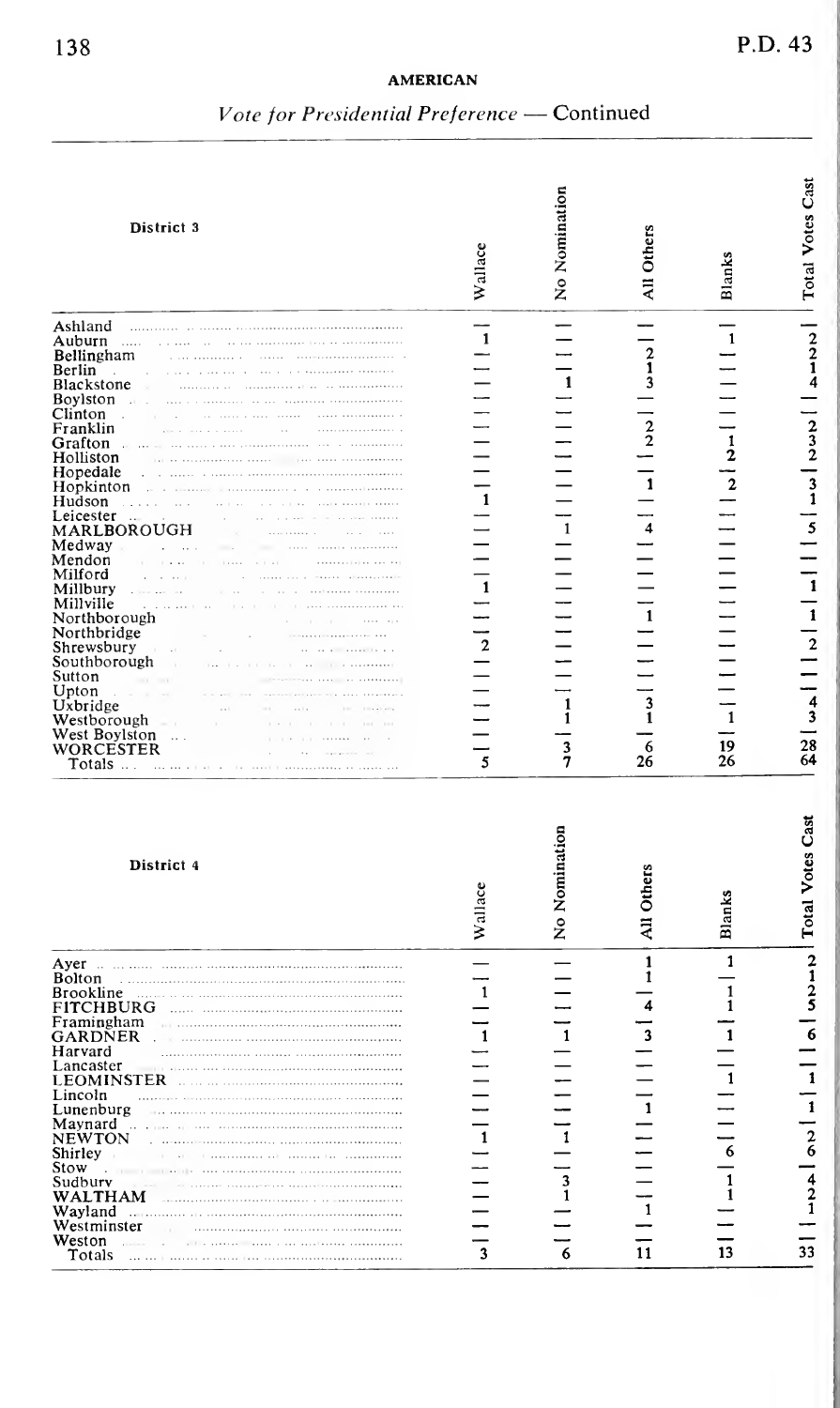# AMERICAN Vote for Presidential Preference - Continued

| District 3 |  |
|------------|--|

| Ashland<br>$\overline{2}$<br>$\mathbf{1}$<br>1<br>Auburn<br>$\cdots$<br>$\frac{2}{1}$<br>$\overline{2}$<br>Bellingham<br>.<br>contract and a series of<br>n.<br>$\mathbf{a}$<br><br>$\frac{2}{2}$<br>$\frac{2}{3}$<br>and a company of the second<br>1<br>2<br>Telephone and accountance of the contract of<br>$\mathbf{1}$<br>$\overline{c}$<br>3<br>$\mathbf{1}$<br>and the company of the company of the company of the company of the company of the company of the company of the<br>.<br>$\sim$<br>- 4<br>the company of the company of<br>$\blacksquare$<br>Millbury<br>a teacher<br>$\mathbf{v}$ and<br>Millville<br>$\overline{2}$<br>and the company of the company of the<br><b>Contract</b><br>the country of the control of the component<br>$\sim$<br>$-1$<br>$1 - 2 - 2 = 2$<br>and the lost<br>4<br>3<br>ŝ<br><b>COLLEGE</b><br>×.<br>$\sim$ 10 $\sim$<br>28<br>19<br>3<br>6<br>64<br>26<br>7<br>26<br>5<br>Totals<br>$\sim$<br>and the activities of the contribution and contribution | District 3 | Wallace | No Nomination | Others<br>Ę | Blanks | Cast<br><b>Total Votes</b> |
|---------------------------------------------------------------------------------------------------------------------------------------------------------------------------------------------------------------------------------------------------------------------------------------------------------------------------------------------------------------------------------------------------------------------------------------------------------------------------------------------------------------------------------------------------------------------------------------------------------------------------------------------------------------------------------------------------------------------------------------------------------------------------------------------------------------------------------------------------------------------------------------------------------------------------------------------------------------------------------------------------------|------------|---------|---------------|-------------|--------|----------------------------|
| Berlin<br>Blackstone<br>Boylston<br>Clinton<br>Franklin<br>Grafton<br>Holliston<br>Hopedale<br>Hudson<br>Leicester<br>MARLBOROUGH<br>Medway<br>Mendon<br>Milford<br>Northborough<br>Northbridge<br>Shrewsbury<br>Southborough<br>Sutton<br>Upton<br>Uxbridge<br>Westborough<br>West Boylston<br>WORCESTER                                                                                                                                                                                                                                                                                                                                                                                                                                                                                                                                                                                                                                                                                               |            |         |               |             |        |                            |
|                                                                                                                                                                                                                                                                                                                                                                                                                                                                                                                                                                                                                                                                                                                                                                                                                                                                                                                                                                                                         |            |         |               |             |        |                            |
|                                                                                                                                                                                                                                                                                                                                                                                                                                                                                                                                                                                                                                                                                                                                                                                                                                                                                                                                                                                                         |            |         |               |             |        |                            |
|                                                                                                                                                                                                                                                                                                                                                                                                                                                                                                                                                                                                                                                                                                                                                                                                                                                                                                                                                                                                         |            |         |               |             |        |                            |
|                                                                                                                                                                                                                                                                                                                                                                                                                                                                                                                                                                                                                                                                                                                                                                                                                                                                                                                                                                                                         |            |         |               |             |        |                            |
|                                                                                                                                                                                                                                                                                                                                                                                                                                                                                                                                                                                                                                                                                                                                                                                                                                                                                                                                                                                                         |            |         |               |             |        |                            |
|                                                                                                                                                                                                                                                                                                                                                                                                                                                                                                                                                                                                                                                                                                                                                                                                                                                                                                                                                                                                         |            |         |               |             |        |                            |
|                                                                                                                                                                                                                                                                                                                                                                                                                                                                                                                                                                                                                                                                                                                                                                                                                                                                                                                                                                                                         |            |         |               |             |        |                            |
|                                                                                                                                                                                                                                                                                                                                                                                                                                                                                                                                                                                                                                                                                                                                                                                                                                                                                                                                                                                                         |            |         |               |             |        |                            |
|                                                                                                                                                                                                                                                                                                                                                                                                                                                                                                                                                                                                                                                                                                                                                                                                                                                                                                                                                                                                         |            |         |               |             |        |                            |
|                                                                                                                                                                                                                                                                                                                                                                                                                                                                                                                                                                                                                                                                                                                                                                                                                                                                                                                                                                                                         |            |         |               |             |        |                            |
|                                                                                                                                                                                                                                                                                                                                                                                                                                                                                                                                                                                                                                                                                                                                                                                                                                                                                                                                                                                                         |            |         |               |             |        |                            |
|                                                                                                                                                                                                                                                                                                                                                                                                                                                                                                                                                                                                                                                                                                                                                                                                                                                                                                                                                                                                         |            |         |               |             |        |                            |
|                                                                                                                                                                                                                                                                                                                                                                                                                                                                                                                                                                                                                                                                                                                                                                                                                                                                                                                                                                                                         |            |         |               |             |        |                            |
|                                                                                                                                                                                                                                                                                                                                                                                                                                                                                                                                                                                                                                                                                                                                                                                                                                                                                                                                                                                                         |            |         |               |             |        |                            |
|                                                                                                                                                                                                                                                                                                                                                                                                                                                                                                                                                                                                                                                                                                                                                                                                                                                                                                                                                                                                         |            |         |               |             |        |                            |
|                                                                                                                                                                                                                                                                                                                                                                                                                                                                                                                                                                                                                                                                                                                                                                                                                                                                                                                                                                                                         |            |         |               |             |        |                            |
|                                                                                                                                                                                                                                                                                                                                                                                                                                                                                                                                                                                                                                                                                                                                                                                                                                                                                                                                                                                                         |            |         |               |             |        |                            |
|                                                                                                                                                                                                                                                                                                                                                                                                                                                                                                                                                                                                                                                                                                                                                                                                                                                                                                                                                                                                         |            |         |               |             |        |                            |
|                                                                                                                                                                                                                                                                                                                                                                                                                                                                                                                                                                                                                                                                                                                                                                                                                                                                                                                                                                                                         |            |         |               |             |        |                            |
|                                                                                                                                                                                                                                                                                                                                                                                                                                                                                                                                                                                                                                                                                                                                                                                                                                                                                                                                                                                                         |            |         |               |             |        |                            |
|                                                                                                                                                                                                                                                                                                                                                                                                                                                                                                                                                                                                                                                                                                                                                                                                                                                                                                                                                                                                         |            |         |               |             |        |                            |
|                                                                                                                                                                                                                                                                                                                                                                                                                                                                                                                                                                                                                                                                                                                                                                                                                                                                                                                                                                                                         |            |         |               |             |        |                            |
|                                                                                                                                                                                                                                                                                                                                                                                                                                                                                                                                                                                                                                                                                                                                                                                                                                                                                                                                                                                                         |            |         |               |             |        |                            |
|                                                                                                                                                                                                                                                                                                                                                                                                                                                                                                                                                                                                                                                                                                                                                                                                                                                                                                                                                                                                         |            |         |               |             |        |                            |
|                                                                                                                                                                                                                                                                                                                                                                                                                                                                                                                                                                                                                                                                                                                                                                                                                                                                                                                                                                                                         |            |         |               |             |        |                            |
|                                                                                                                                                                                                                                                                                                                                                                                                                                                                                                                                                                                                                                                                                                                                                                                                                                                                                                                                                                                                         |            |         |               |             |        |                            |
|                                                                                                                                                                                                                                                                                                                                                                                                                                                                                                                                                                                                                                                                                                                                                                                                                                                                                                                                                                                                         |            |         |               |             |        |                            |
|                                                                                                                                                                                                                                                                                                                                                                                                                                                                                                                                                                                                                                                                                                                                                                                                                                                                                                                                                                                                         |            |         |               |             |        |                            |

| District 4                                                                                                                                                                                                                               | Wallace | Nominati<br>۰<br>ż | ither | Blank | ã<br>otal |
|------------------------------------------------------------------------------------------------------------------------------------------------------------------------------------------------------------------------------------------|---------|--------------------|-------|-------|-----------|
| Aver                                                                                                                                                                                                                                     |         |                    |       |       |           |
| Bolton                                                                                                                                                                                                                                   |         |                    |       |       |           |
| <b>Brookline</b>                                                                                                                                                                                                                         |         |                    |       |       |           |
| <b>FITCHBURG</b>                                                                                                                                                                                                                         |         |                    |       |       |           |
| Framingham                                                                                                                                                                                                                               |         |                    |       |       |           |
| <b>GARDNER</b>                                                                                                                                                                                                                           |         |                    |       |       |           |
| Harvard                                                                                                                                                                                                                                  |         |                    |       |       |           |
| Lancaster                                                                                                                                                                                                                                |         |                    |       |       |           |
| LEOMINSTER                                                                                                                                                                                                                               |         |                    |       |       |           |
| Lincoln                                                                                                                                                                                                                                  |         |                    |       |       |           |
| Lunenburg                                                                                                                                                                                                                                |         |                    |       |       |           |
| Maynard                                                                                                                                                                                                                                  |         |                    |       |       |           |
| <b>NEWTON</b>                                                                                                                                                                                                                            |         |                    |       |       |           |
| Shirley                                                                                                                                                                                                                                  |         |                    |       |       |           |
| Stow                                                                                                                                                                                                                                     |         |                    |       |       |           |
| Sudbury                                                                                                                                                                                                                                  |         |                    |       |       |           |
| WALTHAM                                                                                                                                                                                                                                  |         |                    |       |       |           |
| Wayland<br>Westminster                                                                                                                                                                                                                   |         |                    |       |       |           |
| Weston                                                                                                                                                                                                                                   |         |                    |       |       |           |
| a final contract to a construction of the contract of the contract of the contract of the contract of the contract of the contract of the contract of the contract of the contract of the contract of the contract of the cont<br>Totals |         |                    |       |       |           |
|                                                                                                                                                                                                                                          |         |                    |       |       |           |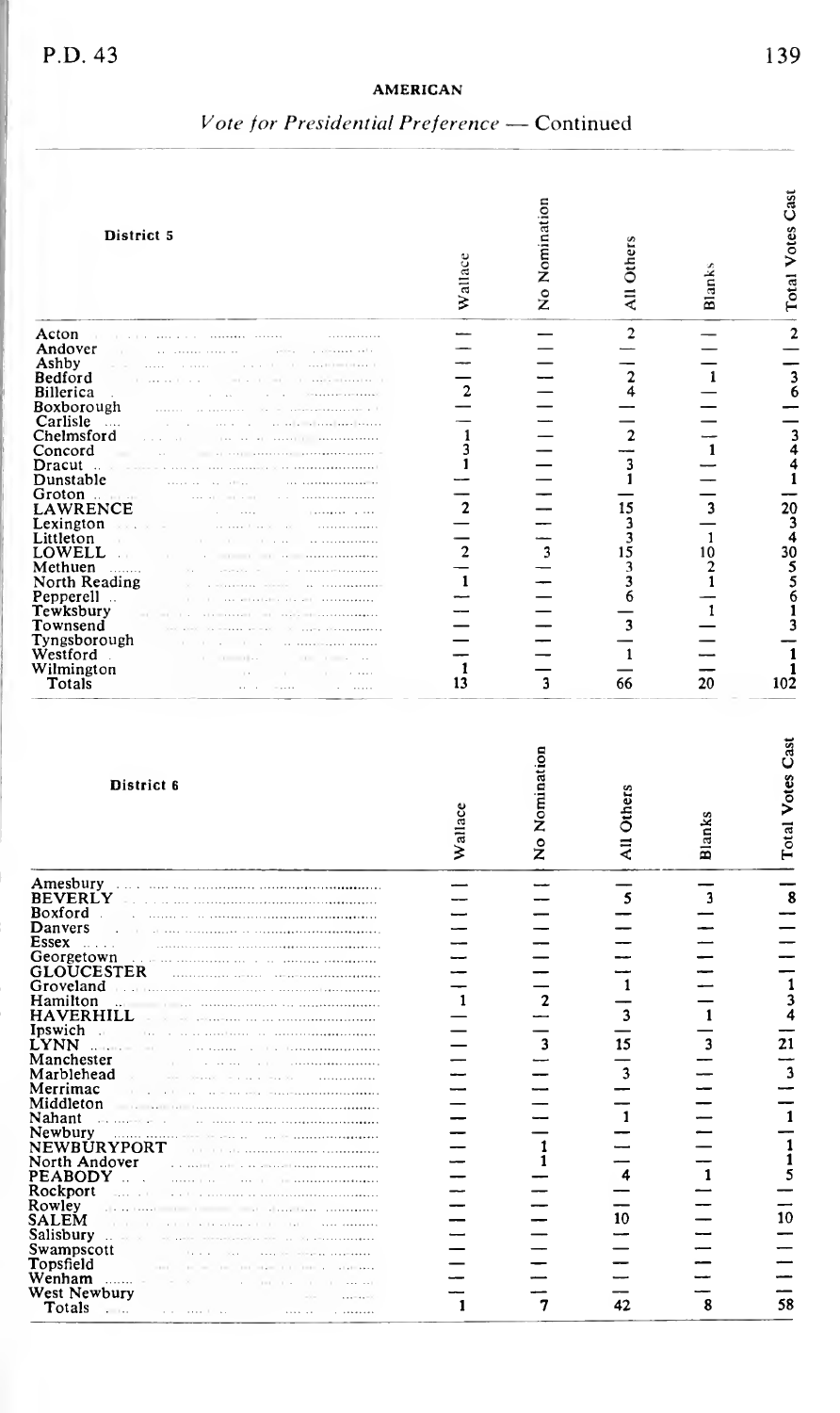### Vote for Presidential Preference — Continued

| District 5                                                                                                                                                                                                                                                                                                                                                                                                                                                                                                                                                                                                                                                                                                                                                                                                                                                                                                                                                                                                                                                                                                                                                                                                                                                                                                                                                                                                                                                                                                                                                                                                                                                                                                                                                                                                                                                                                                                                                                  | Wallace                                                                                                                                 | No Nomination | <b>Others</b><br>₹                                                                                                                                                                                       | <b>Blanks</b> | Total Votes Cast                                                                                     |
|-----------------------------------------------------------------------------------------------------------------------------------------------------------------------------------------------------------------------------------------------------------------------------------------------------------------------------------------------------------------------------------------------------------------------------------------------------------------------------------------------------------------------------------------------------------------------------------------------------------------------------------------------------------------------------------------------------------------------------------------------------------------------------------------------------------------------------------------------------------------------------------------------------------------------------------------------------------------------------------------------------------------------------------------------------------------------------------------------------------------------------------------------------------------------------------------------------------------------------------------------------------------------------------------------------------------------------------------------------------------------------------------------------------------------------------------------------------------------------------------------------------------------------------------------------------------------------------------------------------------------------------------------------------------------------------------------------------------------------------------------------------------------------------------------------------------------------------------------------------------------------------------------------------------------------------------------------------------------------|-----------------------------------------------------------------------------------------------------------------------------------------|---------------|----------------------------------------------------------------------------------------------------------------------------------------------------------------------------------------------------------|---------------|------------------------------------------------------------------------------------------------------|
| Acton<br>and a series and<br>Andover<br>a conservation<br>$\mathcal{L}(\mathcal{L})$ . The contract<br>Ashby<br>$\mathcal{C} = \mathcal{C}$ , and in the $\mathcal{C}$<br>$\alpha$ -decomposed<br>Bedford<br>control in<br>Billerica<br>$\mathcal{L}_{\rm{eff}}$<br>Boxborough<br>a sanari<br>Carlisle<br>$\sim$<br>$\sim 10^{-1}$<br>Chelmsford<br>care and<br>Concord<br>and a complete community of the community<br>$\bar{\omega}$<br>Dracut<br>main a da communica<br>Dunstable<br>Groton<br>and an interview<br>منت منشدة المنا<br>LAWRENCE<br>$\sim 100$ mass $^{-1}$<br>Lexington<br>$\begin{array}{l} \begin{array}{c} \begin{array}{c} \begin{array}{c} \end{array} \\ \begin{array}{c} \end{array} \end{array} \end{array} \end{array} \end{array} \end{array} \begin{array}{c} \begin{array}{c} \begin{array}{c} \end{array} \\ \begin{array}{c} \end{array} \end{array} \end{array} \end{array} \begin{array}{c} \begin{array}{c} \begin{array}{c} \end{array} \\ \begin{array}{c} \end{array} \end{array} \end{array} \end{array} \begin{array}{c} \begin{array}{c} \begin{array}{c} \end{array} \end{array} \end{array} \begin{array}{$<br>$\alpha = 0.14$<br>Littleton<br>LOWELL<br>a company<br><b>The Communists</b><br>$\bar{\epsilon}$ :<br>Methuen<br>$\begin{array}{ccc} \mathbf{1} & \mathbf{1} & \mathbf{1} & \mathbf{1} & \mathbf{1} & \mathbf{1} & \mathbf{1} & \mathbf{1} & \mathbf{1} & \mathbf{1} & \mathbf{1} & \mathbf{1} & \mathbf{1} & \mathbf{1} & \mathbf{1} & \mathbf{1} & \mathbf{1} & \mathbf{1} & \mathbf{1} & \mathbf{1} & \mathbf{1} & \mathbf{1} & \mathbf{1} & \mathbf{1} & \mathbf{1} & \mathbf{1} & \mathbf{1} & \mathbf{1} & \mathbf{1} & \mathbf{1} & \mathbf$<br>a marina di<br>North Reading<br>Pepperell<br>The accumulation of accumulation<br>Tewksbury<br>comments in additional comments<br>Townsend<br>second read to the community<br>Tyngsborough<br>the contract of the<br>Westford<br>Wilmington<br>÷.<br>Totals | $\frac{2}{1}$<br>$\frac{1}{3}$<br>$\frac{1}{1}$<br>$\frac{1}{2}$ $\frac{1}{2}$ $\frac{1}{2}$ $\frac{1}{2}$<br>$\overline{\frac{1}{13}}$ |               | $\frac{2}{2}$ $\frac{1}{4}$<br>$\frac{1}{2}$ $\frac{3}{1}$ $\frac{1}{2}$ $\frac{3}{15}$ $\frac{3}{15}$ $\frac{3}{15}$ $\frac{3}{15}$ $\frac{3}{15}$ $\frac{3}{15}$ $\frac{3}{15}$<br>$\frac{1}{3}$<br>66 | 20            | $\overline{2}$<br>3<br>$\frac{1}{4}$<br>20<br>34<br>30<br>5<br>5<br>5<br>6<br>1<br>ā<br>$10^{1}_{2}$ |
| District 6                                                                                                                                                                                                                                                                                                                                                                                                                                                                                                                                                                                                                                                                                                                                                                                                                                                                                                                                                                                                                                                                                                                                                                                                                                                                                                                                                                                                                                                                                                                                                                                                                                                                                                                                                                                                                                                                                                                                                                  | Wallace                                                                                                                                 | No Nomination | All Others                                                                                                                                                                                               |               | Total Votes Cast                                                                                     |
|                                                                                                                                                                                                                                                                                                                                                                                                                                                                                                                                                                                                                                                                                                                                                                                                                                                                                                                                                                                                                                                                                                                                                                                                                                                                                                                                                                                                                                                                                                                                                                                                                                                                                                                                                                                                                                                                                                                                                                             |                                                                                                                                         |               |                                                                                                                                                                                                          | Blanks        |                                                                                                      |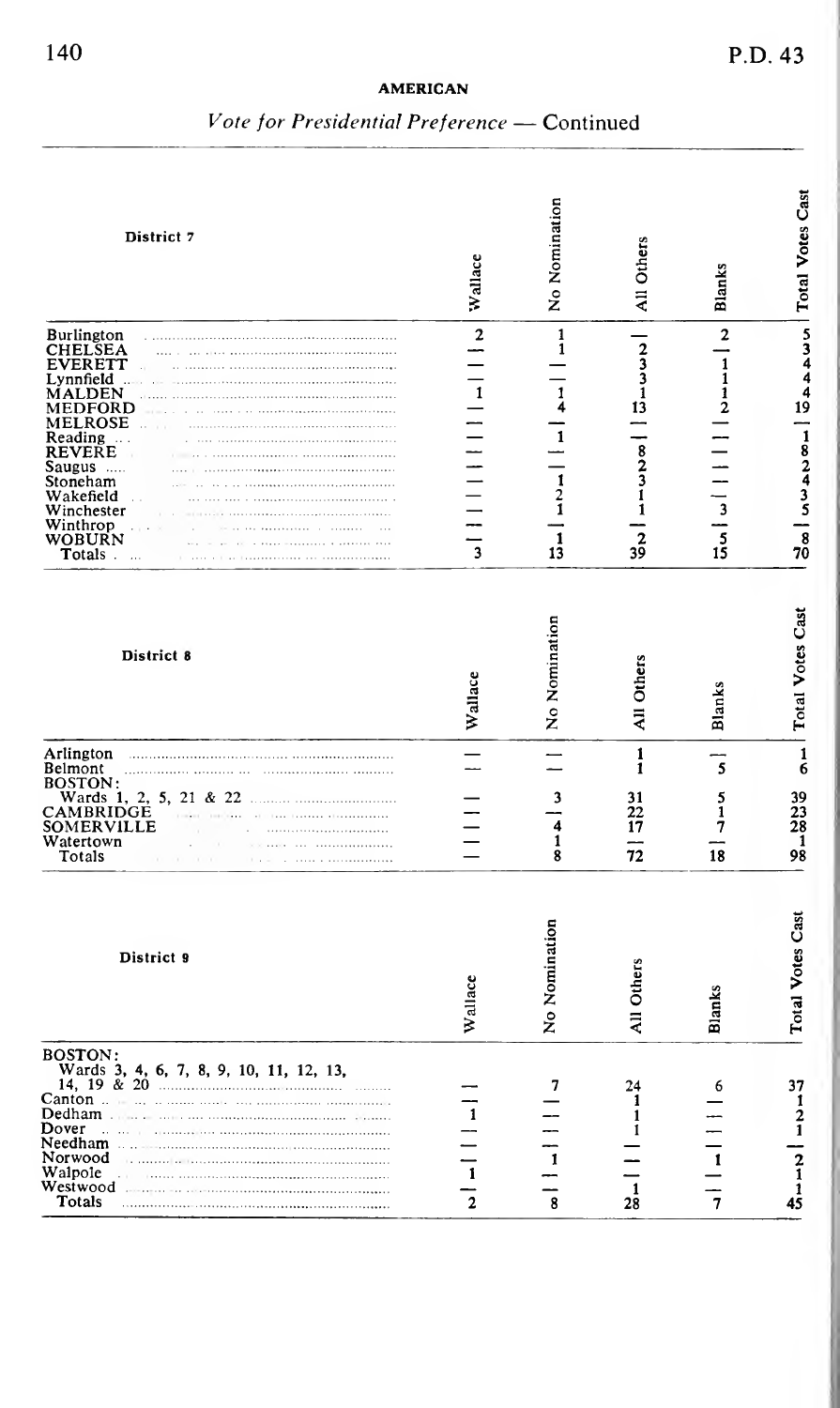| District 7                                                                                                                                                                                                                                                                                                                                                                                                                                                                      | Wallace                            | No Nomination                                                                      | All Others                                                                                                        | <b>Blanks</b>                                                                                              | <b>Total Votes Cast</b>                                                                                           |
|---------------------------------------------------------------------------------------------------------------------------------------------------------------------------------------------------------------------------------------------------------------------------------------------------------------------------------------------------------------------------------------------------------------------------------------------------------------------------------|------------------------------------|------------------------------------------------------------------------------------|-------------------------------------------------------------------------------------------------------------------|------------------------------------------------------------------------------------------------------------|-------------------------------------------------------------------------------------------------------------------|
| <b>Burlington</b><br><b>CHELSEA</b><br><b>EVERETT</b><br>Lynnfield<br>MALDEN<br>MEDFORD<br><b>MELROSE</b><br>$\sim$<br>$\mathbf{r}$<br>Reading<br><b>REVERE</b><br>Saugus<br>Stoneham<br>Wakefield<br>Winchester<br>The product communication of the communication of<br>Winthrop<br>se a na mamana a sanna.<br>WOBURN<br>and the company of the company of the company of the<br>Totals<br>÷<br>The contract of the process contract of the component contract<br>$\mathbf{r}$ | $\overline{\mathbf{3}}$            | 1<br>$\bf{1}$<br>$\frac{1}{4}$<br>$\frac{1}{2}$<br>$\frac{1}{2}$<br>$\frac{1}{13}$ | $\frac{2}{3}$ $\frac{3}{1}$ $\frac{1}{1}$ $\frac{1}{8}$ $\frac{1}{2}$ $\frac{1}{3}$ $\frac{1}{1}$<br>$rac{2}{39}$ | $\overline{a}$<br>$\begin{array}{c} 1 \\ 1 \\ 2 \end{array}$<br>$\frac{1}{1}$ $\frac{1}{1}$ $\frac{5}{15}$ | $-5344$<br>19<br>182435<br>$\frac{8}{70}$                                                                         |
| District 8                                                                                                                                                                                                                                                                                                                                                                                                                                                                      | Wallace                            | No Nomination                                                                      | Others<br>₹                                                                                                       | <b>Blanks</b>                                                                                              | <b>Total Votes Cast</b>                                                                                           |
| Arlington<br>Belmont<br><b>BOSTON:</b><br>Wards 1, 2, 5, 21 & 22<br>CAMBRIDGE<br>the include of the fundamental company<br><b>SOMERVILLE</b><br>V.<br>Watertown<br><u>kkaan aluminimaan</u><br>Totals<br>and the common common<br>$\mathbf{r} = \mathbf{r}$                                                                                                                                                                                                                     |                                    | 3<br>4<br>1<br>8                                                                   | 1<br>ī<br>$\frac{31}{22}$<br>17<br>72                                                                             | 5<br>5<br>$\mathbf{1}$<br>7<br>18                                                                          | $\begin{matrix}1\\6\end{matrix}$<br>39<br>23<br>28<br>198                                                         |
| District 9                                                                                                                                                                                                                                                                                                                                                                                                                                                                      | Wallace                            | No Nomination                                                                      | All Others                                                                                                        | <b>Blanks</b>                                                                                              | Total Votes Cast                                                                                                  |
| <b>BOSTON:</b><br>Wards 3, 4, 6, 7, 8, 9, 10, 11, 12, 13,<br>Dover<br>in the proposition of an international components.<br>Norwood<br>Walpole<br>Totals                                                                                                                                                                                                                                                                                                                        | $\mathbf{1}$<br>1<br>$\frac{1}{2}$ | 7<br>8                                                                             | 24<br>$\mathbf{1}$<br>1<br>$\frac{1}{28}$                                                                         | 6<br>1<br>$\overline{7}$                                                                                   | $\begin{array}{c} 37 \\ 1 \\ 2 \\ 1 \end{array}$<br>$\begin{array}{c}\n\overline{2} \\ 1 \\ 1 \\ 45\n\end{array}$ |

# Vote for Presidential Preference — Continued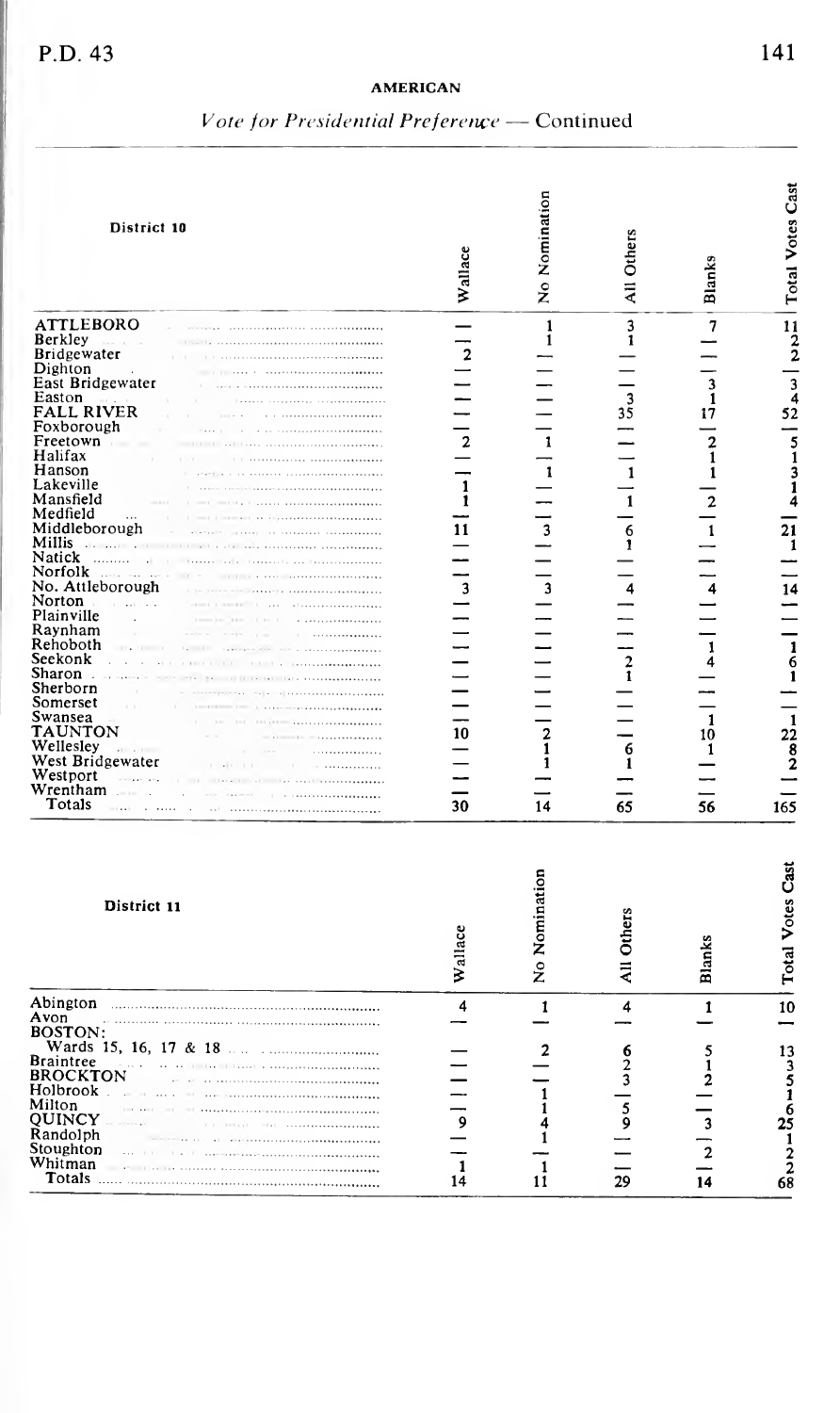#### No Nomination District 10 All Others Wallace **Blanks**  $\frac{3}{1}$ ATTLEBORO Berkley  $\mathbf{1}$ 7i **Bridgewater**  $\frac{1}{3}$ <br> $\frac{1}{17}$ Dighton  $\frac{1}{3^{35}}$ East Bridgewater Easton<br>FALL RIVER Foxborough  $\frac{1}{2}$ <br> $\frac{1}{1}$ Freetown  $\frac{1}{1}$ Hanson Lakeville  $\overline{1}$  $\frac{1}{2}$ Mansfield **Medfield**  $\frac{1}{1}$  $-61$  -  $-4$  -  $-$  -  $-21$  -  $-$  -  $-$  6 1 Middleborough Millis  $\frac{1}{4}$   $\frac{1}{4}$   $\frac{1}{4}$   $\frac{1}{4}$   $\frac{1}{4}$   $\frac{1}{4}$   $\frac{1}{4}$   $\frac{1}{10}$   $\frac{1}{10}$ Natick<br>Norfolk Norfolk<br>No. Attleborough<br>Plainville<br>Plainville<br>Raynham Rehoboth Seekonk . . . Sharon. Sherborn Somerset<br>Swansea Swansea<br>TAUNTON<br>Wellesley<br>West Bridgewater  $\frac{2}{1}$  $\dot{=}$ Westport<br>Wrentham  $\frac{1}{65}$  $\frac{1}{14}$  $\overline{56}$ Totals ... **Total Votes Cast** Nomination District 11 Others Wallace Blanks ş इं  $\frac{1}{10}$ Abington  $\overline{4}$  $\mathbf{1}$  $\overline{4}$  $\mathbf{1}$ Avon - $\overline{a}$ **BOSTON:** Wards 15, 16, 17 & 18 ...  $\overline{\mathbf{c}}$  $\frac{6}{3}$  $\frac{3}{5}$  $\frac{5}{29}$  $\frac{5}{2}$   $\frac{1}{3}$   $\frac{1}{2}$  $\frac{13}{3}$ 5<br>  $\frac{5}{1}$ 6<br>  $\frac{6}{2}$ 5<br>  $\frac{2}{2}$ 68  $\frac{1}{1}$   $\frac{1}{1}$   $\frac{1}{1}$   $\frac{1}{1}$   $\frac{1}{1}$   $\frac{1}{1}$   $\frac{1}{1}$   $\frac{1}{1}$ Braintree<br>BROCKTON The community of the community of the community Ξ  $\frac{1}{4}$ Holbrook Milton<br>QUINCY Randolph Stoughton<br>Whitman  $\overline{1}$ Totals **Experimental Contract Contract Contract Contract Contract Contract Contract Contract Contract Contract Contract Contract Contract Contract Contract Contract Contract Contract Contract Contract Contract Contract Con**  $\overline{14}$

## AMERICAN Vote for Presidential Preference — Continued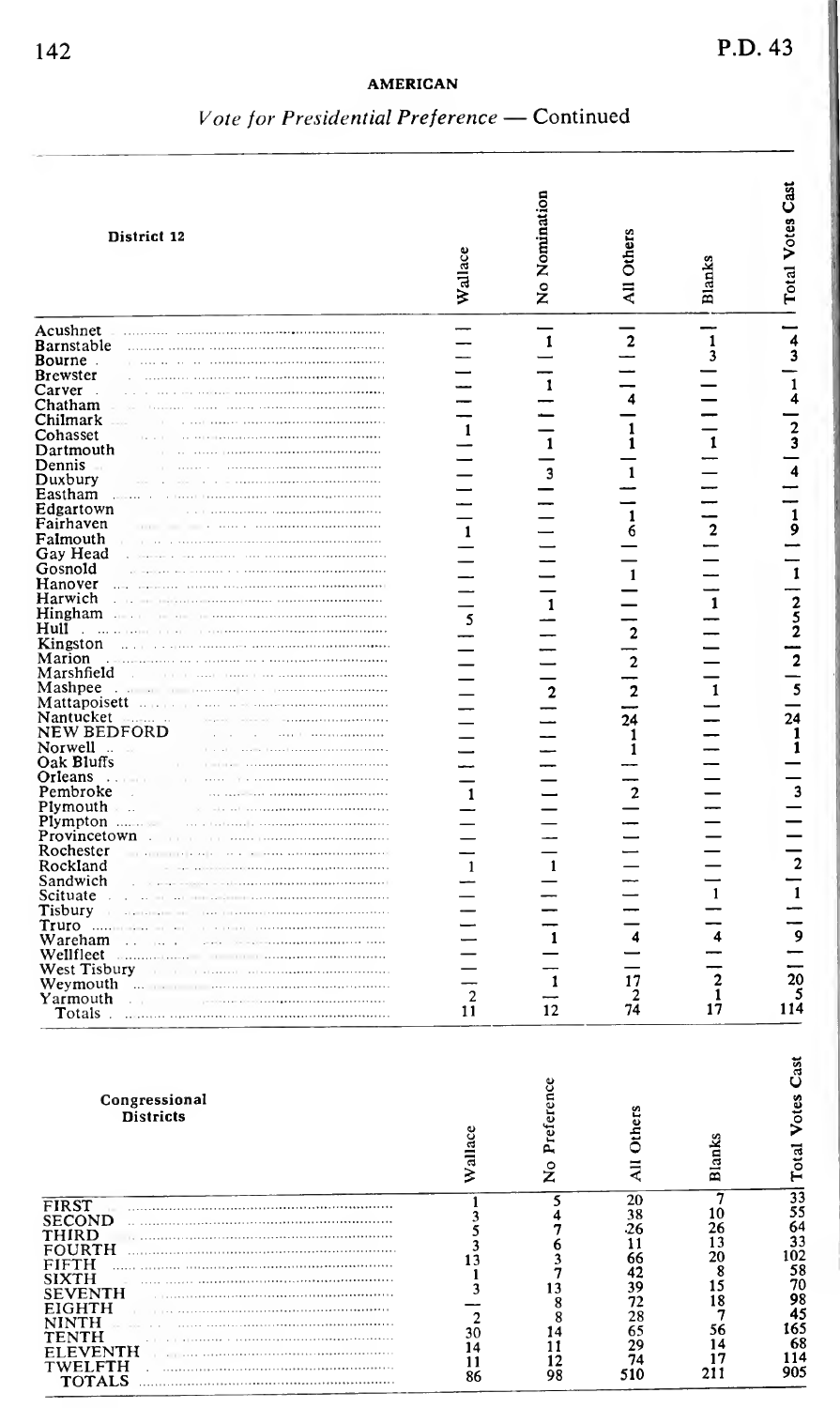### AMERICAN

### Vote for Presidential Preference - Continued

| District 12                                                                                                                                                                                                                                                                                                                                                                                                                                                                                                                                                                                                                                                                                                                                                                                                                                                                                                                                                                                                                                                                                                                                                                                                                                                                                                                                                                                                                                                                                                                                                                                                                                                                                                                                                                                                                                                                                                                                                                                                                                                                                                                                                                                                                                                                                                                                                                                                                                                                               | Wallace                                                                                                                            | No Nomination                                                                                                                                                                                                                                             | <b>Others</b><br>₹                                                                                                                                       | <b>Blanks</b>                                                                            | Total Votes Cast                                                                                                                                                                                                                                                                        |
|-------------------------------------------------------------------------------------------------------------------------------------------------------------------------------------------------------------------------------------------------------------------------------------------------------------------------------------------------------------------------------------------------------------------------------------------------------------------------------------------------------------------------------------------------------------------------------------------------------------------------------------------------------------------------------------------------------------------------------------------------------------------------------------------------------------------------------------------------------------------------------------------------------------------------------------------------------------------------------------------------------------------------------------------------------------------------------------------------------------------------------------------------------------------------------------------------------------------------------------------------------------------------------------------------------------------------------------------------------------------------------------------------------------------------------------------------------------------------------------------------------------------------------------------------------------------------------------------------------------------------------------------------------------------------------------------------------------------------------------------------------------------------------------------------------------------------------------------------------------------------------------------------------------------------------------------------------------------------------------------------------------------------------------------------------------------------------------------------------------------------------------------------------------------------------------------------------------------------------------------------------------------------------------------------------------------------------------------------------------------------------------------------------------------------------------------------------------------------------------------|------------------------------------------------------------------------------------------------------------------------------------|-----------------------------------------------------------------------------------------------------------------------------------------------------------------------------------------------------------------------------------------------------------|----------------------------------------------------------------------------------------------------------------------------------------------------------|------------------------------------------------------------------------------------------|-----------------------------------------------------------------------------------------------------------------------------------------------------------------------------------------------------------------------------------------------------------------------------------------|
| Acushnet<br>Barnstable<br>Bourne.<br>the contract of the contract of the contract of the contract of the contract of the contract of the contract of<br>Brewster<br>Carver<br>Chatham<br>Chilmark<br>Cohasset<br>Dartmouth<br>à.<br>Dennis<br>and a<br>Duxbury<br>Eastham<br>Edgartown<br>Fairhaven<br>Falmouth<br>Gay Head<br>Gosnold<br>a same as summer communication and<br>Hanover<br>case in this community was announced and<br>Harwich<br>Hingham<br>$\begin{minipage}{.4\linewidth} \begin{tabular}{l} \hline \multicolumn{3}{c}{\textbf{0.66}} \end{tabular} \end{minipage}$<br>$\alpha = \alpha$ .<br>Hull<br>$\sim$<br><b>Service State</b><br>and a complete the complete and complete complete the complete<br>Kingston<br>Marion<br>Marshfield<br>communications and communications<br>Mashpee<br>Mattapoisett<br>Nantucket<br><b>NEW BEDFORD</b><br>$\lambda$<br>Norwell<br>Oak Bluffs<br>$\begin{minipage}{.4\linewidth} \begin{tabular}{l} \hline \multicolumn{3}{c}{\textbf{0.1}} \end{tabular} \end{minipage} \begin{minipage}{.4\linewidth} \begin{tabular}{l} \hline \multicolumn{3}{c}{\textbf{0.1}} \end{tabular} \end{minipage} \begin{minipage}{.4\linewidth} \begin{tabular}{l} \hline \multicolumn{3}{c}{\textbf{0.1}} \end{tabular} \end{minipage} \begin{minipage}{.4\linewidth} \begin{tabular}{l} \hline \multicolumn{3}{c}{\textbf{0.1}} \end{tabular} \end{minipage} \begin{minipage}{.$<br>Orleans<br>.<br>$\ddot{\phantom{a}}$<br>Pembroke<br>$\bar{z}$<br>Plymouth<br>$\bar{\alpha}$<br>Plympton<br>Provincetown.<br>1999 - La constituito de la componición de la constituito de la constituito de la constituito de la constituit<br>La constituito de la constituito de la constituito de la constituito de la constituito de la constituito de la<br>Rochester<br>a component and components of the components<br>Rockland<br>and a series<br>Sandwich<br>Scituate.<br>$\sim$<br>Tisbury<br>$\label{eq:1} \frac{1}{2} \int_{\mathbb{R}^n} \frac{1}{2} \int_{\mathbb{R}^n} \frac{1}{2} \int_{\mathbb{R}^n} \frac{1}{2} \int_{\mathbb{R}^n} \frac{1}{2} \int_{\mathbb{R}^n} \frac{1}{2} \int_{\mathbb{R}^n} \frac{1}{2} \int_{\mathbb{R}^n} \frac{1}{2} \int_{\mathbb{R}^n} \frac{1}{2} \int_{\mathbb{R}^n} \frac{1}{2} \int_{\mathbb{R}^n} \frac{1}{2} \int_{\mathbb{R}^n} \frac{1$<br>$+ + + +$<br>Truro<br>Wareham<br>$\sim$<br>$\sim$ $\sim$<br>Wellfleet<br>West Tisbury<br>The component and announcements<br>Weymouth<br>Yarmouth<br>Totals |                                                                                                                                    | $\overline{1}$<br>$\frac{1}{1}$ $\frac{1}{1}$ $\frac{1}{1}$ $\frac{1}{3}$ $\frac{1}{1}$ $\frac{1}{1}$ $\frac{1}{1}$ $\frac{1}{1}$<br>$\frac{1}{1}$ $\frac{1}{1}$ $\frac{1}{1}$ $\frac{1}{1}$ $\frac{1}{1}$ $\frac{1}{1}$ $\frac{1}{1}$<br>$\overline{12}$ | $\overline{2}$<br>$\frac{4}{1}$<br>$\frac{-1}{1}$ $\frac{-1}{6}$ $\frac{-1}{1}$ $\frac{-1}{2}$ $\frac{-2}{2}$<br>$\overline{4}$<br>$\frac{17}{17}$<br>74 | $\frac{1}{3}$<br>$\frac{1}{2}$ $\frac{1}{17}$                                            | $-43$ $-14$ $-23$ $-4$ $-119$ $-1$ $-252$ $-2$ $-5$<br>$\frac{1}{24}$ $\frac{1}{1}$ $\frac{1}{1}$ $\frac{1}{3}$ $\frac{1}{1}$ $\frac{1}{2}$ $\frac{1}{1}$ $\frac{1}{2}$ $\frac{1}{2}$ $\frac{1}{2}$ $\frac{1}{2}$ $\frac{1}{2}$ $\frac{1}{2}$ $\frac{1}{2}$ $\frac{1}{2}$ $\frac{1}{2}$ |
| Congressional<br><b>Districts</b><br><b>FIRST</b><br><b>SECOND</b><br>THIRD<br>FOURTH<br>FIFTH<br><b>SIXTH</b><br>SEVENTH<br>EIGHTH<br>the contract of the contract of the contract of the contract of<br>INTH<br>TENTH<br><b>ELEVENTH</b><br><b>TWELFTH</b><br>TOTALS                                                                                                                                                                                                                                                                                                                                                                                                                                                                                                                                                                                                                                                                                                                                                                                                                                                                                                                                                                                                                                                                                                                                                                                                                                                                                                                                                                                                                                                                                                                                                                                                                                                                                                                                                                                                                                                                                                                                                                                                                                                                                                                                                                                                                    | Wallace<br>$\mathbf{1}$<br>$3\overline{)3\overline{3}}$<br>$1\overline{3}$<br>$3\overline{)3}$<br>$\frac{2}{30}$<br>14<br>11<br>86 | No Preference<br>5476371388<br>$\frac{14}{11}$<br>98                                                                                                                                                                                                      | Others<br>$\bar{z}$<br>$\frac{20}{38}$<br>$\frac{38}{26}$<br>$\frac{11}{11}$<br>66<br>42<br>39<br>72<br>28<br>65<br>$\frac{29}{74}$<br>510               | Blanks<br>7<br>10<br>26<br>13<br>20<br>8<br>15<br>15<br>18<br>7<br>56<br>14<br>17<br>211 |                                                                                                                                                                                                                                                                                         |